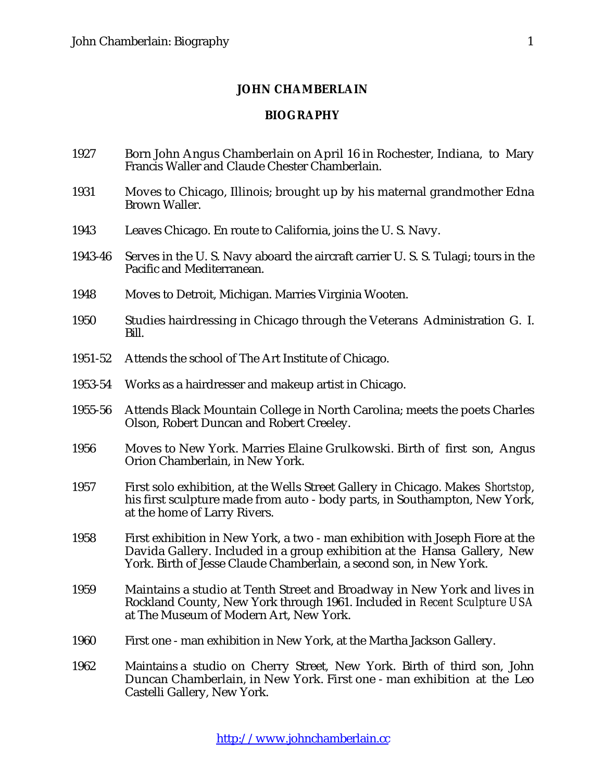#### **JOHN CHAMBERLAIN**

#### **BIOGRAPHY**

- 1927 Born John Angus Chamberlain on April 16 in Rochester, Indiana, to Mary Francis Waller and Claude Chester Chamberlain.
- 1931 Moves to Chicago, Illinois; brought up by his maternal grandmother Edna Brown Waller.
- 1943 Leaves Chicago. En route to California, joins the U. S. Navy.
- 1943-46 Serves in the U. S. Navy aboard the aircraft carrier U. S. S. Tulagi; tours in the Pacific and Mediterranean.
- 1948 Moves to Detroit, Michigan. Marries Virginia Wooten.
- 1950 Studies hairdressing in Chicago through the Veterans Administration G. I. Bill.
- 1951-52 Attends the school of The Art Institute of Chicago.
- 1953-54 Works as a hairdresser and makeup artist in Chicago.
- 1955-56 Attends Black Mountain College in North Carolina; meets the poets Charles Olson, Robert Duncan and Robert Creeley.
- 1956 Moves to New York. Marries Elaine Grulkowski. Birth of first son, Angus Orion Chamberlain, in New York.
- 1957 First solo exhibition, at the Wells Street Gallery in Chicago. Makes *Shortstop*, his first sculpture made from auto - body parts, in Southampton, New York, at the home of Larry Rivers.
- 1958 First exhibition in New York, a two man exhibition with Joseph Fiore at the Davida Gallery. Included in a group exhibition at the Hansa Gallery, New York. Birth of Jesse Claude Chamberlain, a second son, in New York.
- 1959 Maintains a studio at Tenth Street and Broadway in New York and lives in Rockland County, New York through 1961. Included in *Recent Sculpture USA* at The Museum of Modern Art, New York.
- 1960 First one man exhibition in New York, at the Martha Jackson Gallery.
- 1962 Maintains a studio on Cherry Street, New York. Birth of third son, John Duncan Chamberlain, in New York. First one - man exhibition at the Leo Castelli Gallery, New York.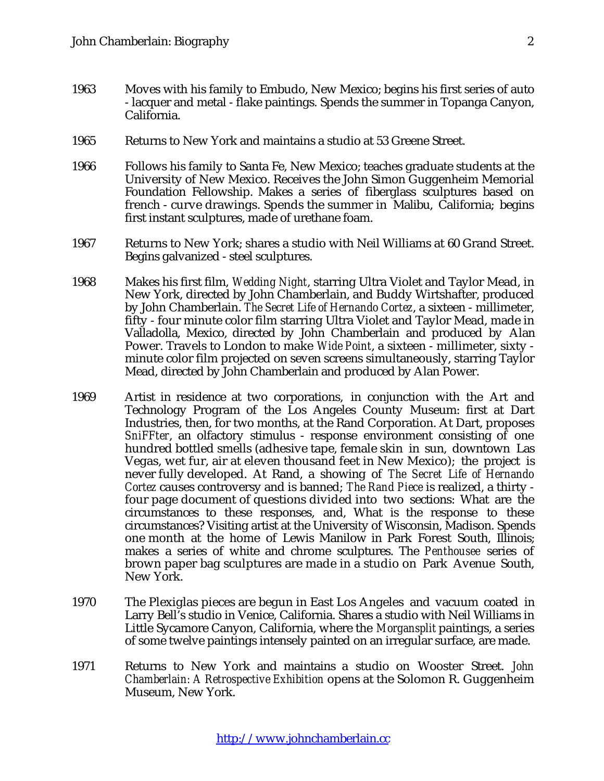- 1963 Moves with his family to Embudo, New Mexico; begins his first series of auto - lacquer and metal - flake paintings. Spends the summer in Topanga Canyon, California.
- 1965 Returns to New York and maintains a studio at 53 Greene Street.
- 1966 Follows his family to Santa Fe, New Mexico; teaches graduate students at the University of New Mexico. Receives the John Simon Guggenheim Memorial Foundation Fellowship. Makes a series of fiberglass sculptures based on french - curve drawings. Spends the summer in Malibu, California; begins first instant sculptures, made of urethane foam.
- 1967 Returns to New York; shares a studio with Neil Williams at 60 Grand Street. Begins galvanized - steel sculptures.
- 1968 Makes his first film, *Wedding Night*, starring Ultra Violet and Taylor Mead, in New York, directed by John Chamberlain, and Buddy Wirtshafter, produced by John Chamberlain. *The Secret Life of Hernando Cortez*, a sixteen - millimeter, fifty - four minute color film starring Ultra Violet and Taylor Mead, made in Valladolla, Mexico, directed by John Chamberlain and produced by Alan Power. Travels to London to make *Wide Point*, a sixteen - millimeter, sixty minute color film projected on seven screens simultaneously, starring Taylor Mead, directed by John Chamberlain and produced by Alan Power.
- 1969 Artist in residence at two corporations, in conjunction with the Art and Technology Program of the Los Angeles County Museum: first at Dart Industries, then, for two months, at the Rand Corporation. At Dart, proposes *SniFFter*, an olfactory stimulus - response environment consisting of one hundred bottled smells (adhesive tape, female skin in sun, downtown Las Vegas, wet fur, air at eleven thousand feet in New Mexico); the project is never fully developed. At Rand, a showing of *The Secret Life of Hernando Cortez* causes controversy and is banned; *The Rand Piece* is realized, a thirty four page document of questions divided into two sections: What are the circumstances to these responses, and, What is the response to these circumstances? Visiting artist at the University of Wisconsin, Madison. Spends one month at the home of Lewis Manilow in Park Forest South, Illinois; makes a series of white and chrome sculptures. The *Penthousee* series of brown paper bag sculptures are made in a studio on Park Avenue South, New York.
- 1970 The Plexiglas pieces are begun in East Los Angeles and vacuum coated in Larry Bell's studio in Venice, California. Shares a studio with Neil Williams in Little Sycamore Canyon, California, where the *Morgansplit* paintings, a series of some twelve paintings intensely painted on an irregular surface, are made.
- 1971 Returns to New York and maintains a studio on Wooster Street. *John Chamberlain: A Retrospective Exhibition* opens at the Solomon R. Guggenheim Museum, New York.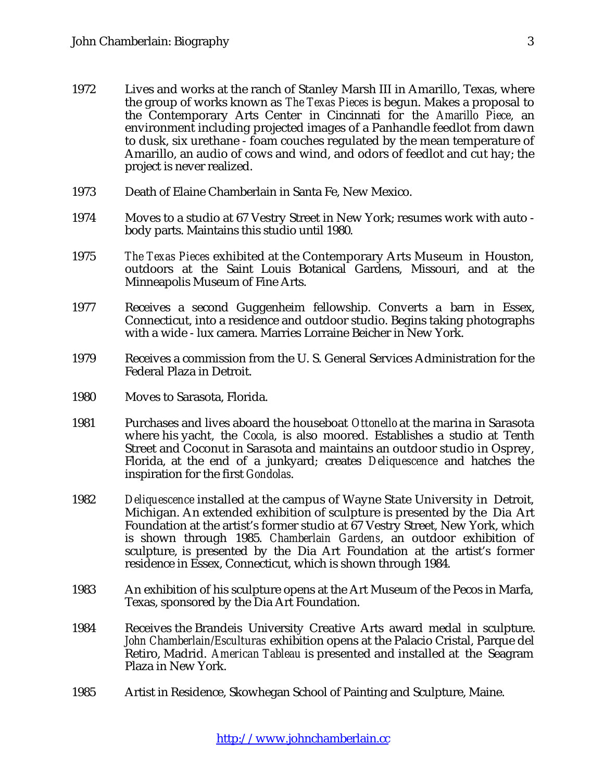- 1972 Lives and works at the ranch of Stanley Marsh III in Amarillo, Texas, where the group of works known as *The Texas Pieces* is begun. Makes a proposal to the Contemporary Arts Center in Cincinnati for the *Amarillo Piece*, an environment including projected images of a Panhandle feedlot from dawn to dusk, six urethane - foam couches regulated by the mean temperature of Amarillo, an audio of cows and wind, and odors of feedlot and cut hay; the project is never realized.
- 1973 Death of Elaine Chamberlain in Santa Fe, New Mexico.
- 1974 Moves to a studio at 67 Vestry Street in New York; resumes work with auto body parts. Maintains this studio until 1980.
- 1975 *The Texas Pieces* exhibited at the Contemporary Arts Museum in Houston, outdoors at the Saint Louis Botanical Gardens, Missouri, and at the Minneapolis Museum of Fine Arts.
- 1977 Receives a second Guggenheim fellowship. Converts a barn in Essex, Connecticut, into a residence and outdoor studio. Begins taking photographs with a wide - lux camera. Marries Lorraine Beicher in New York.
- 1979 Receives a commission from the U. S. General Services Administration for the Federal Plaza in Detroit.
- 1980 Moves to Sarasota, Florida.
- 1981 Purchases and lives aboard the houseboat *Ottonello* at the marina in Sarasota where his yacht, the *Cocola*, is also moored. Establishes a studio at Tenth Street and Coconut in Sarasota and maintains an outdoor studio in Osprey, Florida, at the end of a junkyard; creates *Deliquescence* and hatches the inspiration for the first *Gondolas*.
- 1982 *Deliquescence* installed at the campus of Wayne State University in Detroit, Michigan. An extended exhibition of sculpture is presented by the Dia Art Foundation at the artist's former studio at 67 Vestry Street, New York, which is shown through 1985. *Chamberlain Gardens*, an outdoor exhibition of sculpture, is presented by the Dia Art Foundation at the artist's former residence in Essex, Connecticut, which is shown through 1984.
- 1983 An exhibition of his sculpture opens at the Art Museum of the Pecos in Marfa, Texas, sponsored by the Dia Art Foundation.
- 1984 Receives the Brandeis University Creative Arts award medal in sculpture. *John Chamberlain/Esculturas* exhibition opens at the Palacio Cristal, Parque del Retiro, Madrid. *American Tableau* is presented and installed at the Seagram Plaza in New York.
- 1985 Artist in Residence, Skowhegan School of Painting and Sculpture, Maine.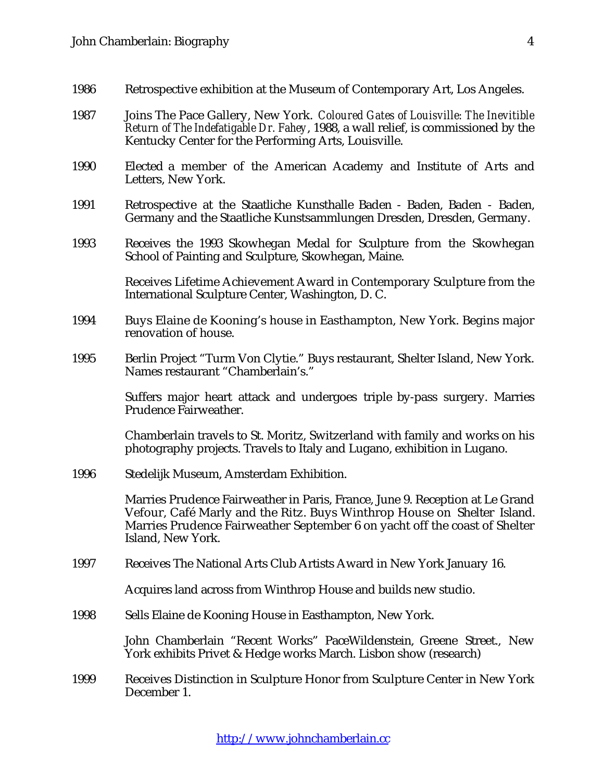- 1986 Retrospective exhibition at the Museum of Contemporary Art, Los Angeles.
- 1987 Joins The Pace Gallery, New York. *Coloured Gates of Louisville: The Inevitible Return of The Indefatigable Dr. Fahey*, 1988, a wall relief, is commissioned by the Kentucky Center for the Performing Arts, Louisville.
- 1990 Elected a member of the American Academy and Institute of Arts and Letters, New York.
- 1991 Retrospective at the Staatliche Kunsthalle Baden Baden, Baden Baden, Germany and the Staatliche Kunstsammlungen Dresden, Dresden, Germany.
- 1993 Receives the 1993 Skowhegan Medal for Sculpture from the Skowhegan School of Painting and Sculpture, Skowhegan, Maine.

Receives Lifetime Achievement Award in Contemporary Sculpture from the International Sculpture Center, Washington, D. C.

- 1994 Buys Elaine de Kooning's house in Easthampton, New York. Begins major renovation of house.
- 1995 Berlin Project "Turm Von Clytie." Buys restaurant, Shelter Island, New York. Names restaurant "Chamberlain's."

Suffers major heart attack and undergoes triple by-pass surgery. Marries Prudence Fairweather.

Chamberlain travels to St. Moritz, Switzerland with family and works on his photography projects. Travels to Italy and Lugano, exhibition in Lugano.

1996 Stedelijk Museum, Amsterdam Exhibition.

Marries Prudence Fairweather in Paris, France, June 9. Reception at Le Grand Vefour, Café Marly and the Ritz. Buys Winthrop House on Shelter Island. Marries Prudence Fairweather September 6 on yacht off the coast of Shelter Island, New York.

1997 Receives The National Arts Club Artists Award in New York January 16.

Acquires land across from Winthrop House and builds new studio.

1998 Sells Elaine de Kooning House in Easthampton, New York.

John Chamberlain "Recent Works" PaceWildenstein, Greene Street., New York exhibits Privet & Hedge works March. Lisbon show (research)

1999 Receives Distinction in Sculpture Honor from Sculpture Center in New York December 1.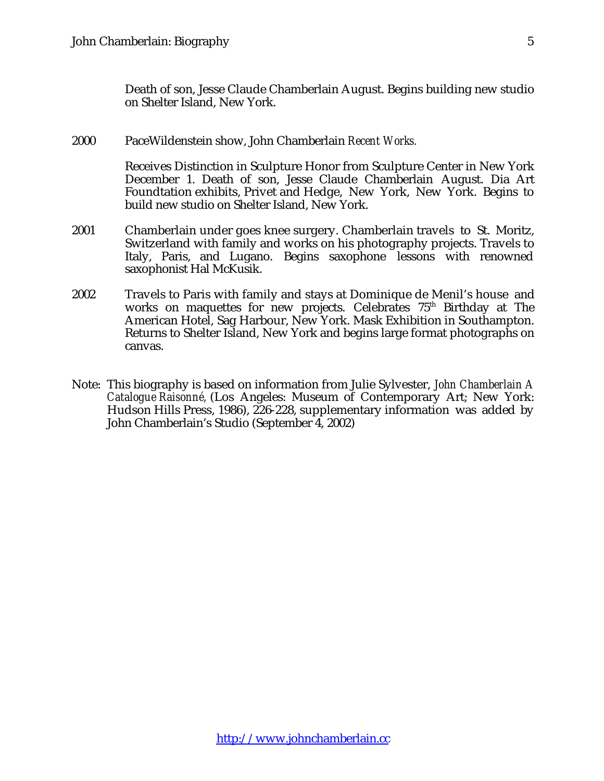Death of son, Jesse Claude Chamberlain August. Begins building new studio on Shelter Island, New York.

2000 PaceWildenstein show, John Chamberlain *Recent Works.*

Receives Distinction in Sculpture Honor from Sculpture Center in New York December 1. Death of son, Jesse Claude Chamberlain August. Dia Art Foundtation exhibits, Privet and Hedge, New York, New York. Begins to build new studio on Shelter Island, New York.

- 2001 Chamberlain under goes knee surgery. Chamberlain travels to St. Moritz, Switzerland with family and works on his photography projects. Travels to Italy, Paris, and Lugano. Begins saxophone lessons with renowned saxophonist Hal McKusik.
- 2002 Travels to Paris with family and stays at Dominique de Menil's house and works on maquettes for new projects. Celebrates 75<sup>th</sup> Birthday at The American Hotel, Sag Harbour, New York. Mask Exhibition in Southampton. Returns to Shelter Island, New York and begins large format photographs on canvas.
- Note: This biography is based on information from Julie Sylvester, *John Chamberlain A Catalogue Raisonné,* (Los Angeles: Museum of Contemporary Art; New York: Hudson Hills Press, 1986), 226-228, supplementary information was added by John Chamberlain's Studio (September 4, 2002)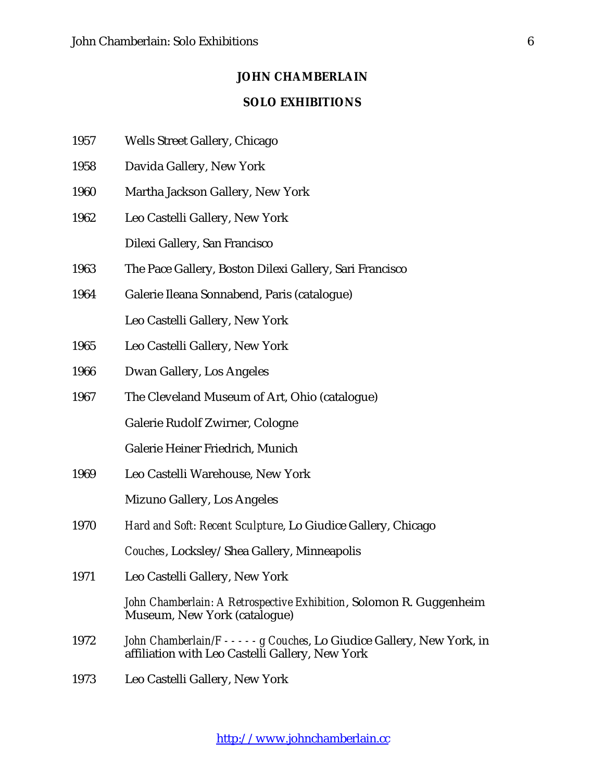### **JOHN CHAMBERLAIN**

## **SOLO EXHIBITIONS**

- 1957 Wells Street Gallery, Chicago
- 1958 Davida Gallery, New York
- 1960 Martha Jackson Gallery, New York
- 1962 Leo Castelli Gallery, New York Dilexi Gallery, San Francisco
- 1963 The Pace Gallery, Boston Dilexi Gallery, Sari Francisco
- 1964 Galerie Ileana Sonnabend, Paris (catalogue) Leo Castelli Gallery, New York
- 1965 Leo Castelli Gallery, New York
- 1966 Dwan Gallery, Los Angeles
- 1967 The Cleveland Museum of Art, Ohio (catalogue) Galerie Rudolf Zwirner, Cologne

Galerie Heiner Friedrich, Munich

- 1969 Leo Castelli Warehouse, New York Mizuno Gallery, Los Angeles
- 1970 *Hard and Soft: Recent Sculpture*, Lo Giudice Gallery, Chicago *Couches*, Locksley/Shea Gallery, Minneapolis
- 1971 Leo Castelli Gallery, New York

*John Chamberlain: A Retrospective Exhibition*, Solomon R. Guggenheim Museum, New York (catalogue)

- 1972 *John Chamberlain/F - - g Couches*, Lo Giudice Gallery, New York, in affiliation with Leo Castelli Gallery, New York
- 1973 Leo Castelli Gallery, New York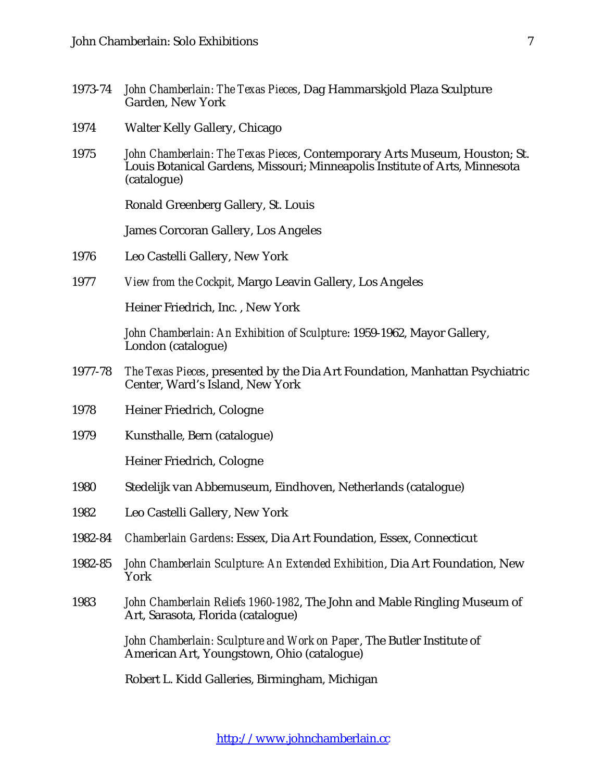- 1973-74 *John Chamberlain: The Texas Pieces*, Dag Hammarskjold Plaza Sculpture Garden, New York
- 1974 Walter Kelly Gallery, Chicago
- 1975 *John Chamberlain: The Texas Pieces*, Contemporary Arts Museum, Houston; St. Louis Botanical Gardens, Missouri; Minneapolis Institute of Arts, Minnesota (catalogue)

Ronald Greenberg Gallery, St. Louis

James Corcoran Gallery, Los Angeles

- 1976 Leo Castelli Gallery, New York
- 1977 *View from the Cockpit*, Margo Leavin Gallery, Los Angeles

Heiner Friedrich, Inc. , New York

*John Chamberlain: An Exhibition of Sculpture*: 1959-1962, Mayor Gallery, London (catalogue)

- 1977-78 *The Texas Pieces*, presented by the Dia Art Foundation, Manhattan Psychiatric Center, Ward's Island, New York
- 1978 Heiner Friedrich, Cologne
- 1979 Kunsthalle, Bern (catalogue)

Heiner Friedrich, Cologne

- 1980 Stedelijk van Abbemuseum, Eindhoven, Netherlands (catalogue)
- 1982 Leo Castelli Gallery, New York
- 1982-84 *Chamberlain Gardens*: Essex, Dia Art Foundation, Essex, Connecticut
- 1982-85 *John Chamberlain Sculpture: An Extended Exhibition*, Dia Art Foundation, New York
- 1983 *John Chamberlain Reliefs 1960-1982*, The John and Mable Ringling Museum of Art, Sarasota, Florida (catalogue)

*John Chamberlain: Sculpture and Work on Paper*, The Butler Institute of American Art, Youngstown, Ohio (catalogue)

Robert L. Kidd Galleries, Birmingham, Michigan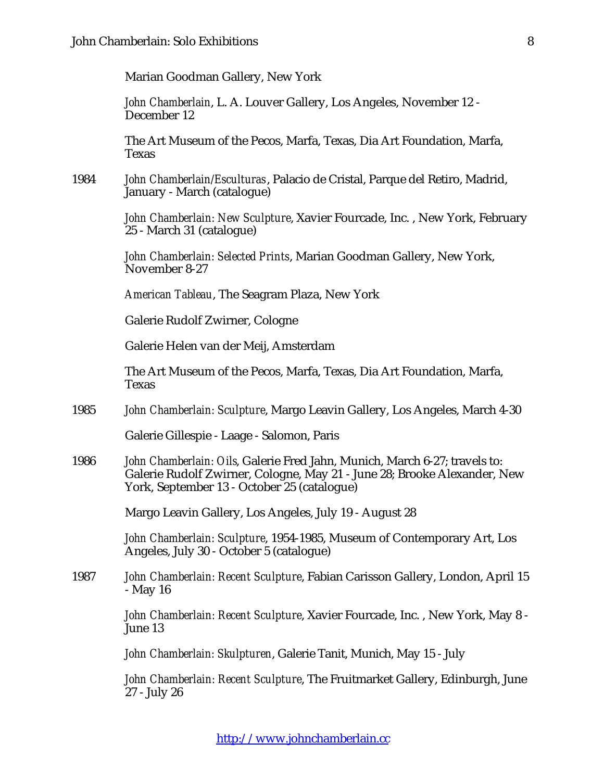Marian Goodman Gallery, New York

*John Chamberlain*, L. A. Louver Gallery, Los Angeles, November 12 - December 12

The Art Museum of the Pecos, Marfa, Texas, Dia Art Foundation, Marfa, Texas

1984 *John Chamberlain/Esculturas*, Palacio de Cristal, Parque del Retiro, Madrid, January - March (catalogue)

> *John Chamberlain: New Sculpture*, Xavier Fourcade, Inc. , New York, February 25 - March 31 (catalogue)

*John Chamberlain: Selected Prints*, Marian Goodman Gallery, New York, November 8-27

*American Tableau*, The Seagram Plaza, New York

Galerie Rudolf Zwirner, Cologne

Galerie Helen van der Meij, Amsterdam

The Art Museum of the Pecos, Marfa, Texas, Dia Art Foundation, Marfa, Texas

1985 *John Chamberlain: Sculpture*, Margo Leavin Gallery, Los Angeles, March 4-30

Galerie Gillespie - Laage - Salomon, Paris

1986 *John Chamberlain: Oils*, Galerie Fred Jahn, Munich, March 6-27; travels to: Galerie Rudolf Zwirner, Cologne, May 21 - June 28; Brooke Alexander, New York, September 13 - October 25 (catalogue)

Margo Leavin Gallery, Los Angeles, July 19 - August 28

*John Chamberlain: Sculpture*, 1954-1985, Museum of Contemporary Art, Los Angeles, July 30 - October 5 (catalogue)

1987 *John Chamberlain: Recent Sculpture*, Fabian Carisson Gallery, London, April 15 - May 16

> *John Chamberlain: Recent Sculpture*, Xavier Fourcade, Inc. , New York, May 8 - June 13

*John Chamberlain: Skulpturen*, Galerie Tanit, Munich, May 15 - July

*John Chamberlain: Recent Sculpture*, The Fruitmarket Gallery, Edinburgh, June 27 - July 26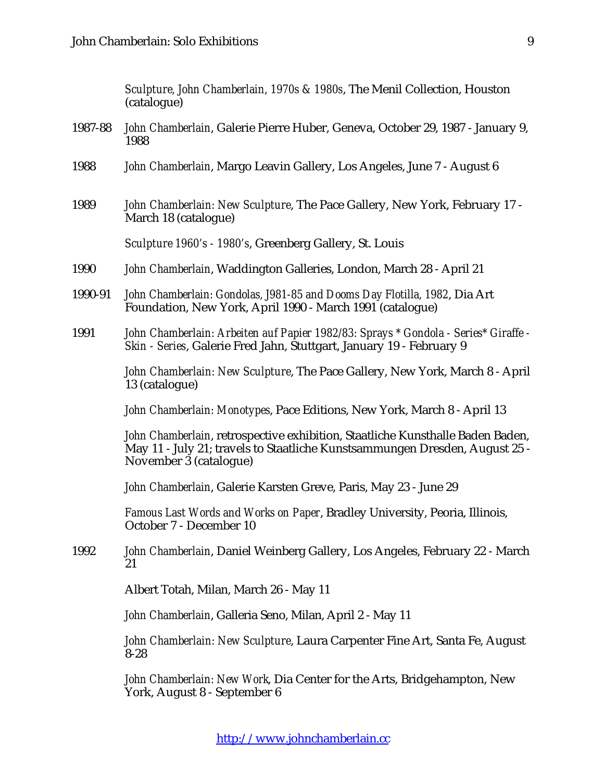|         | Sculpture, John Chamberlain, 1970s & 1980s, The Menil Collection, Houston<br>(catalogue)                                                                                                |
|---------|-----------------------------------------------------------------------------------------------------------------------------------------------------------------------------------------|
| 1987-88 | John Chamberlain, Galerie Pierre Huber, Geneva, October 29, 1987 - January 9,<br>1988                                                                                                   |
| 1988    | John Chamberlain, Margo Leavin Gallery, Los Angeles, June 7 - August 6                                                                                                                  |
| 1989    | John Chamberlain: New Sculpture, The Pace Gallery, New York, February 17 -<br>March 18 (catalogue)                                                                                      |
|         | Sculpture 1960's - 1980's, Greenberg Gallery, St. Louis                                                                                                                                 |
| 1990    | John Chamberlain, Waddington Galleries, London, March 28 - April 21                                                                                                                     |
| 1990-91 | John Chamberlain: Gondolas, J981-85 and Dooms Day Flotilla, 1982, Dia Art<br>Foundation, New York, April 1990 - March 1991 (catalogue)                                                  |
| 1991    | John Chamberlain: Arbeiten auf Papier 1982/83: Sprays * Gondola - Series * Giraffe -<br>Skin - Series, Galerie Fred Jahn, Stuttgart, January 19 - February 9                            |
|         | John Chamberlain: New Sculpture, The Pace Gallery, New York, March 8 - April<br>13 (catalogue)                                                                                          |
|         | John Chamberlain: Monotypes, Pace Editions, New York, March 8 - April 13                                                                                                                |
|         | John Chamberlain, retrospective exhibition, Staatliche Kunsthalle Baden Baden,<br>May 11 - July 21; travels to Staatliche Kunstsammungen Dresden, August 25 -<br>November 3 (catalogue) |
|         | John Chamberlain, Galerie Karsten Greve, Paris, May 23 - June 29                                                                                                                        |
|         | Famous Last Words and Works on Paper, Bradley University, Peoria, Illinois,<br>October 7 - December 10                                                                                  |
| 1992    | John Chamberlain, Daniel Weinberg Gallery, Los Angeles, February 22 - March<br>21                                                                                                       |
|         | Albert Totah, Milan, March 26 - May 11                                                                                                                                                  |
|         | John Chamberlain, Galleria Seno, Milan, April 2 - May 11                                                                                                                                |
|         | John Chamberlain: New Sculpture, Laura Carpenter Fine Art, Santa Fe, August<br>$8-28$                                                                                                   |
|         |                                                                                                                                                                                         |

*John Chamberlain: New Work*, Dia Center for the Arts, Bridgehampton, New York, August 8 - September 6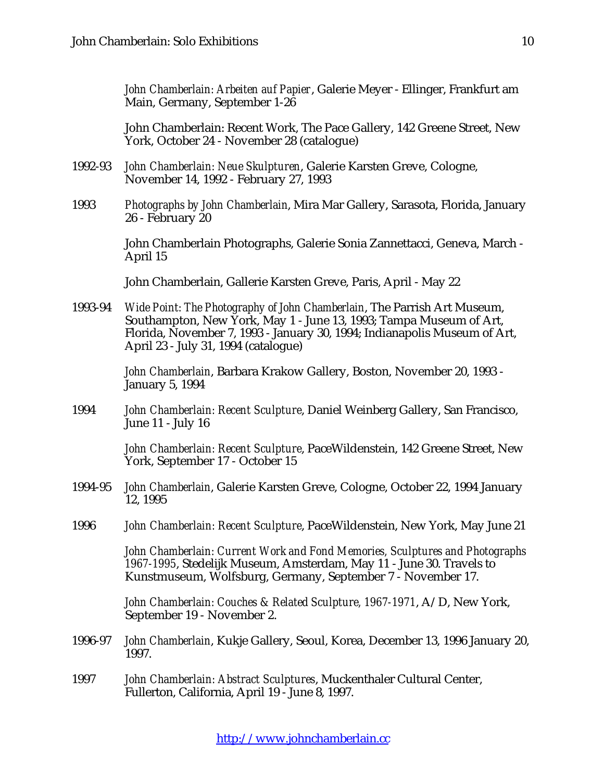*John Chamberlain: Arbeiten auf Papier*, Galerie Meyer - Ellinger, Frankfurt am Main, Germany, September 1-26

John Chamberlain: Recent Work, The Pace Gallery, 142 Greene Street, New York, October 24 - November 28 (catalogue)

- 1992-93 *John Chamberlain: Neue Skulpturen*, Galerie Karsten Greve, Cologne, November 14, 1992 - February 27, 1993
- 1993 *Photographs by John Chamberlain*, Mira Mar Gallery, Sarasota, Florida, January 26 - February 20

John Chamberlain Photographs, Galerie Sonia Zannettacci, Geneva, March - April 15

John Chamberlain, Gallerie Karsten Greve, Paris, April - May 22

1993-94 *Wide Point: The Photography of John Chamberlain*, The Parrish Art Museum, Southampton, New York, May 1 - June 13, 1993; Tampa Museum of Art, Florida, November 7, 1993 - January 30, 1994; Indianapolis Museum of Art, April 23 - July 31, 1994 (catalogue)

> *John Chamberlain*, Barbara Krakow Gallery, Boston, November 20, 1993 - January 5, 1994

1994 *John Chamberlain: Recent Sculpture*, Daniel Weinberg Gallery, San Francisco, June 11 - July 16

> *John Chamberlain: Recent Sculpture*, PaceWildenstein, 142 Greene Street, New York, September 17 - October 15

- 1994-95 *John Chamberlain*, Galerie Karsten Greve, Cologne, October 22, 1994 January 12, 1995
- 1996 *John Chamberlain: Recent Sculpture*, PaceWildenstein, New York, May June 21

*John Chamberlain: Current Work and Fond Memories, Sculptures and Photographs 1967-1995*, Stedelijk Museum, Amsterdam, May 11 - June 30. Travels to Kunstmuseum, Wolfsburg, Germany, September 7 - November 17.

*John Chamberlain: Couches & Related Sculpture, 1967-1971*, A/D, New York, September 19 - November 2.

- 1996-97 *John Chamberlain*, Kukje Gallery, Seoul, Korea, December 13, 1996 January 20, 1997.
- 1997 *John Chamberlain: Abstract Sculptures*, Muckenthaler Cultural Center, Fullerton, California, April 19 - June 8, 1997.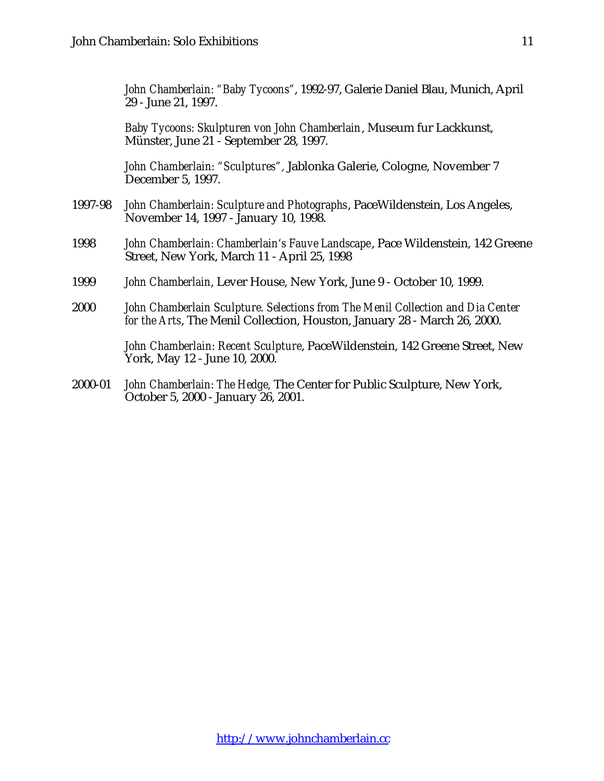*John Chamberlain: "Baby Tycoons"*, 1992-97, Galerie Daniel Blau, Munich, April 29 - June 21, 1997.

*Baby Tycoons: Skulpturen von John Chamberlain*, Museum fur Lackkunst, Münster, June 21 - September 28, 1997.

*John Chamberlain: "Sculptures",* Jablonka Galerie, Cologne, November 7 December 5, 1997.

- 1997-98 *John Chamberlain: Sculpture and Photographs*, PaceWildenstein, Los Angeles, November 14, 1997 - January 10, 1998.
- 1998 *John Chamberlain: Chamberlain's Fauve Landscape*, Pace Wildenstein, 142 Greene Street, New York, March 11 - April 25, 1998
- 1999 *John Chamberlain*, Lever House, New York, June 9 October 10, 1999.
- 2000 *John Chamberlain Sculpture. Selections from The Menil Collection and Dia Center for the Arts*, The Menil Collection, Houston, January 28 - March 26, 2000.

*John Chamberlain: Recent Sculpture*, PaceWildenstein, 142 Greene Street, New York, May 12 - June 10, 2000.

2000-01 *John Chamberlain: The Hedge,* The Center for Public Sculpture, New York, October 5, 2000 - January 26, 2001.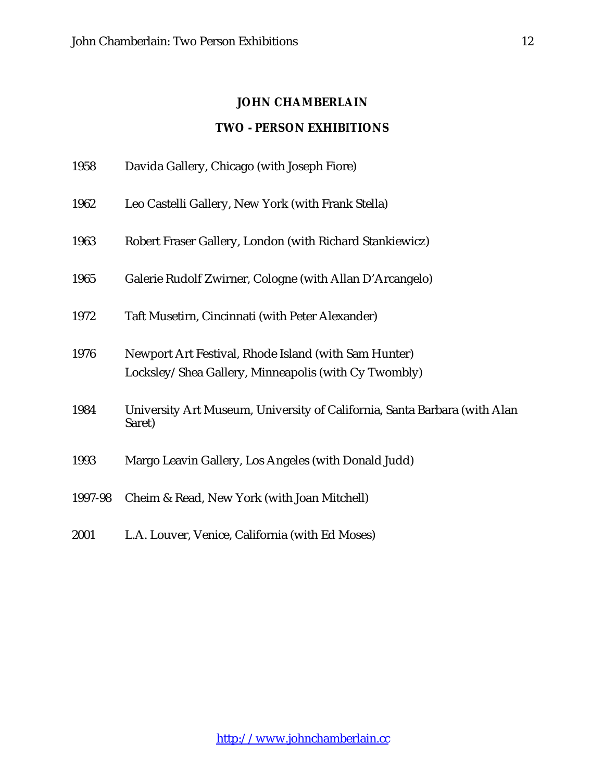### **JOHN CHAMBERLAIN**

## **TWO - PERSON EXHIBITIONS**

- 1958 Davida Gallery, Chicago (with Joseph Fiore)
- 1962 Leo Castelli Gallery, New York (with Frank Stella)
- 1963 Robert Fraser Gallery, London (with Richard Stankiewicz)
- 1965 Galerie Rudolf Zwirner, Cologne (with Allan D'Arcangelo)
- 1972 Taft Musetirn, Cincinnati (with Peter Alexander)
- 1976 Newport Art Festival, Rhode Island (with Sam Hunter) Locksley/Shea Gallery, Minneapolis (with Cy Twombly)
- 1984 University Art Museum, University of California, Santa Barbara (with Alan Saret)
- 1993 Margo Leavin Gallery, Los Angeles (with Donald Judd)
- 1997-98 Cheim & Read, New York (with Joan Mitchell)
- 2001 L.A. Louver, Venice, California (with Ed Moses)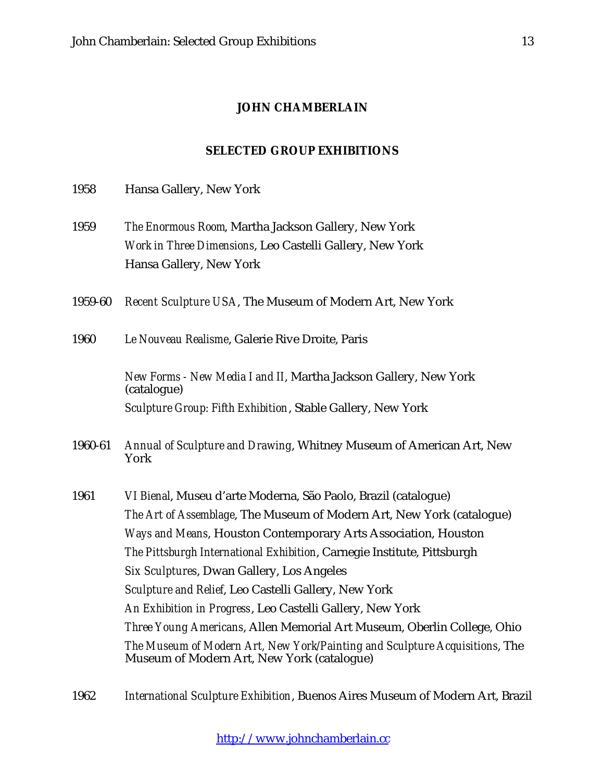# **JOHN CHAMBERLAIN**

# **SELECTED GROUP EXHIBITIONS**

| 1958    | Hansa Gallery, New York                                                                                                                    |
|---------|--------------------------------------------------------------------------------------------------------------------------------------------|
| 1959    | The Enormous Room, Martha Jackson Gallery, New York<br>Work in Three Dimensions, Leo Castelli Gallery, New York<br>Hansa Gallery, New York |
| 1959-60 | Recent Sculpture USA, The Museum of Modern Art, New York                                                                                   |
| 1960    | Le Nouveau Realisme, Galerie Rive Droite, Paris                                                                                            |
|         | New Forms - New Media I and II, Martha Jackson Gallery, New York<br>(catalogue)                                                            |
|         | Sculpture Group: Fifth Exhibition, Stable Gallery, New York                                                                                |
| 1960-61 | Annual of Sculpture and Drawing, Whitney Museum of American Art, New<br>York                                                               |
| 1961    | VI Bienal, Museu d'arte Moderna, São Paolo, Brazil (catalogue)                                                                             |
|         | The Art of Assemblage, The Museum of Modern Art, New York (catalogue)                                                                      |
|         | Ways and Means, Houston Contemporary Arts Association, Houston                                                                             |
|         | The Pittsburgh International Exhibition, Carnegie Institute, Pittsburgh                                                                    |
|         | Six Sculptures, Dwan Gallery, Los Angeles                                                                                                  |
|         | Sculpture and Relief, Leo Castelli Gallery, New York                                                                                       |
|         | An Exhibition in Progress, Leo Castelli Gallery, New York                                                                                  |
|         | Three Young Americans, Allen Memorial Art Museum, Oberlin College, Ohio                                                                    |
|         | The Museum of Modern Art, New York/Painting and Sculpture Acquisitions, The<br>Museum of Modern Art, New York (catalogue)                  |
|         |                                                                                                                                            |

1962 *International Sculpture Exhibition*, Buenos Aires Museum of Modern Art, Brazil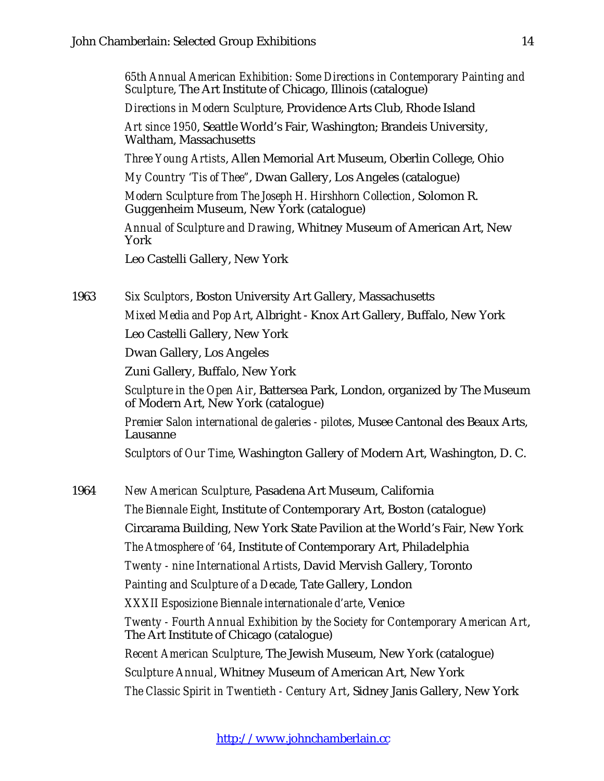*65th Annual American Exhibition: Some Directions in Contemporary Painting and Sculpture*, The Art Institute of Chicago, Illinois (catalogue)

*Directions in Modern Sculpture*, Providence Arts Club, Rhode Island

*Art since 1950*, Seattle World's Fair, Washington; Brandeis University, Waltham, Massachusetts

*Three Young Artists*, Allen Memorial Art Museum, Oberlin College, Ohio

*My Country 'Tis of Thee"*, Dwan Gallery, Los Angeles (catalogue)

*Modern Sculpture from The Joseph H. Hirshhorn Collection*, Solomon R. Guggenheim Museum, New York (catalogue)

*Annual of Sculpture and Drawing*, Whitney Museum of American Art, New York

Leo Castelli Gallery, New York

1963 *Six Sculptors*, Boston University Art Gallery, Massachusetts *Mixed Media and Pop Art*, Albright - Knox Art Gallery, Buffalo, New York

Leo Castelli Gallery, New York

Dwan Gallery, Los Angeles

Zuni Gallery, Buffalo, New York

*Sculpture in the Open Air*, Battersea Park, London, organized by The Museum of Modern Art, New York (catalogue)

*Premier Salon international de galeries - pilotes*, Musee Cantonal des Beaux Arts, Lausanne

*Sculptors of Our Time*, Washington Gallery of Modern Art, Washington, D. C.

1964 *New American Sculpture*, Pasadena Art Museum, California *The Biennale Eight*, Institute of Contemporary Art, Boston (catalogue) Circarama Building, New York State Pavilion at the World's Fair, New York *The Atmosphere of '64*, Institute of Contemporary Art, Philadelphia *Twenty - nine International Artists*, David Mervish Gallery, Toronto *Painting and Sculpture of a Decade*, Tate Gallery, London *XXXII Esposizione Biennale internationale d'arte*, Venice *Twenty - Fourth Annual Exhibition by the Society for Contemporary American Art*, The Art Institute of Chicago (catalogue) *Recent American Sculpture*, The Jewish Museum, New York (catalogue) *Sculpture Annual*, Whitney Museum of American Art, New York *The Classic Spirit in Twentieth - Century Art*, Sidney Janis Gallery, New York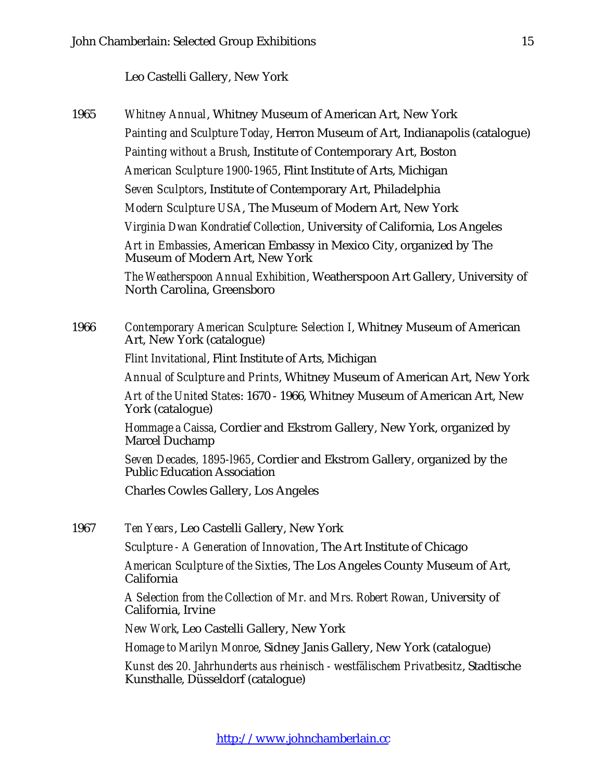### Leo Castelli Gallery, New York

- 1965 *Whitney Annual*, Whitney Museum of American Art, New York *Painting and Sculpture Today*, Herron Museum of Art, Indianapolis (catalogue) *Painting without a Brush*, Institute of Contemporary Art, Boston *American Sculpture 1900-1965*, Flint Institute of Arts, Michigan *Seven Sculptors*, Institute of Contemporary Art, Philadelphia *Modern Sculpture USA*, The Museum of Modern Art, New York *Virginia Dwan Kondratief Collection*, University of California, Los Angeles *Art in Embassies*, American Embassy in Mexico City, organized by The Museum of Modern Art, New York *The Weatherspoon Annual Exhibition*, Weatherspoon Art Gallery, University of North Carolina, Greensboro 1966 *Contemporary American Sculpture: Selection I*, Whitney Museum of American Art, New York (catalogue) *Flint Invitational*, Flint Institute of Arts, Michigan *Annual of Sculpture and Prints*, Whitney Museum of American Art, New York *Art of the United States*: 1670 - 1966, Whitney Museum of American Art, New York (catalogue) *Hommage a Caissa*, Cordier and Ekstrom Gallery, New York, organized by Marcel Duchamp *Seven Decades, 1895-l965*, Cordier and Ekstrom Gallery, organized by the Public Education Association Charles Cowles Gallery, Los Angeles
- 1967 *Ten Years*, Leo Castelli Gallery, New York

*Sculpture - A Generation of Innovation*, The Art Institute of Chicago

*American Sculpture of the Sixties*, The Los Angeles County Museum of Art, California

*A Selection from the Collection of Mr. and Mrs. Robert Rowan*, University of California, Irvine

*New Work*, Leo Castelli Gallery, New York

*Homage to Marilyn Monroe*, Sidney Janis Gallery, New York (catalogue)

*Kunst des 20. Jahrhunderts aus rheinisch - westfälischem Privatbesitz*, Stadtische Kunsthalle, Düsseldorf (catalogue)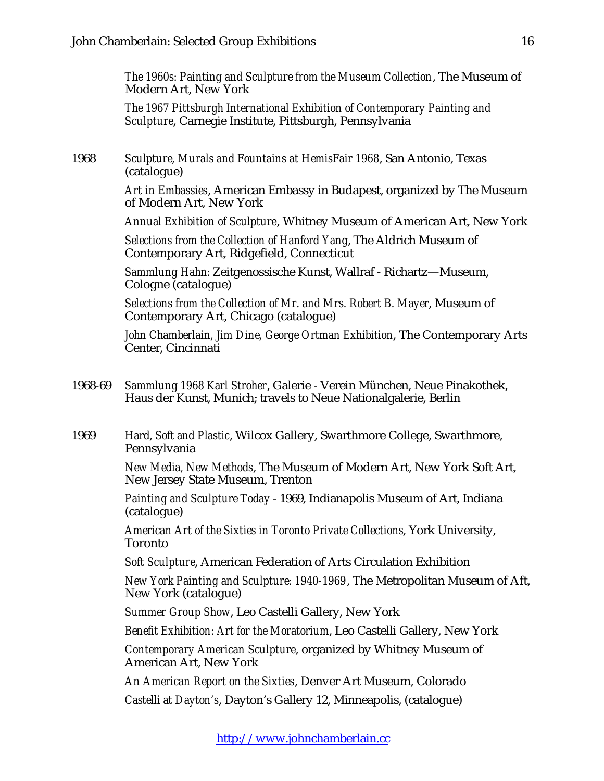*The 1960s: Painting and Sculpture from the Museum Collection*, The Museum of Modern Art, New York

*The 1967 Pittsburgh International Exhibition of Contemporary Painting and Sculpture*, Carnegie Institute, Pittsburgh, Pennsylvania

1968 *Sculpture, Murals and Fountains at HemisFair 1968*, San Antonio, Texas (catalogue)

> *Art in Embassies*, American Embassy in Budapest, organized by The Museum of Modern Art, New York

> *Annual Exhibition of Sculpture*, Whitney Museum of American Art, New York

*Selections from the Collection of Hanford Yang*, The Aldrich Museum of Contemporary Art, Ridgefield, Connecticut

*Sammlung Hahn*: Zeitgenossische Kunst, Wallraf - Richartz—Museum, Cologne (catalogue)

*Selections from the Collection of Mr. and Mrs. Robert B. Mayer*, Museum of Contemporary Art, Chicago (catalogue)

*John Chamberlain, Jim Dine, George Ortman Exhibition*, The Contemporary Arts Center, Cincinnati

- 1968-69 *Sammlung 1968 Karl Stroher*, Galerie Verein München, Neue Pinakothek, Haus der Kunst, Munich; travels to Neue Nationalgalerie, Berlin
- 1969 *Hard, Soft and Plastic*, Wilcox Gallery, Swarthmore College, Swarthmore, Pennsylvania

*New Media, New Methods*, The Museum of Modern Art, New York Soft Art, New Jersey State Museum, Trenton

*Painting and Sculpture Today* - 1969, Indianapolis Museum of Art, Indiana (catalogue)

*American Art of the Sixties in Toronto Private Collections*, York University, Toronto

*Soft Sculpture*, American Federation of Arts Circulation Exhibition

*New York Painting and Sculpture: 1940-1969*, The Metropolitan Museum of Aft, New York (catalogue)

*Summer Group Show*, Leo Castelli Gallery, New York

*Benefit Exhibition: Art for the Moratorium*, Leo Castelli Gallery, New York

*Contemporary American Sculpture*, organized by Whitney Museum of American Art, New York

*An American Report on the Sixties*, Denver Art Museum, Colorado

*Castelli at Dayton's*, Dayton's Gallery 12, Minneapolis, (catalogue)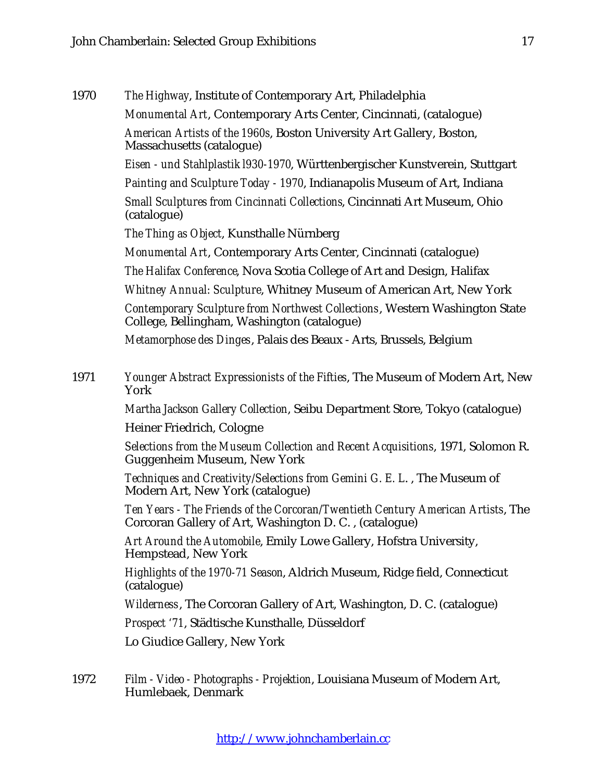1970 *The Highway*, Institute of Contemporary Art, Philadelphia *Monumental Art*, Contemporary Arts Center, Cincinnati, (catalogue) *American Artists of the 1960s*, Boston University Art Gallery, Boston, Massachusetts (catalogue) *Eisen - und Stahlplastik l930-1970*, Württenbergischer Kunstverein, Stuttgart *Painting and Sculpture Today - 1970*, Indianapolis Museum of Art, Indiana *Small Sculptures from Cincinnati Collections*, Cincinnati Art Museum, Ohio (catalogue) *The Thing as Object*, Kunsthalle Nürnberg *Monumental Art*, Contemporary Arts Center, Cincinnati (catalogue) *The Halifax Conference*, Nova Scotia College of Art and Design, Halifax *Whitney Annual: Sculpture*, Whitney Museum of American Art, New York

*Contemporary Sculpture from Northwest Collections*, Western Washington State College, Bellingham, Washington (catalogue)

*Metamorphose des Dinges*, Palais des Beaux - Arts, Brussels, Belgium

1971 *Younger Abstract Expressionists of the Fifties*, The Museum of Modern Art, New York

*Martha Jackson Gallery Collection*, Seibu Department Store, Tokyo (catalogue)

# Heiner Friedrich, Cologne

*Selections from the Museum Collection and Recent Acquisitions*, 1971, Solomon R. Guggenheim Museum, New York

*Techniques and Creativity/Selections from Gemini G. E. L*. , The Museum of Modern Art, New York (catalogue)

*Ten Years - The Friends of the Corcoran/Twentieth Century American Artists*, The Corcoran Gallery of Art, Washington D. C. , (catalogue)

*Art Around the Automobile*, Emily Lowe Gallery, Hofstra University, Hempstead, New York

*Highlights of the 1970-71 Season*, Aldrich Museum, Ridge field, Connecticut (catalogue)

*Wilderness*, The Corcoran Gallery of Art, Washington, D. C. (catalogue)

*Prospect '71*, Städtische Kunsthalle, Düsseldorf

Lo Giudice Gallery, New York

1972 *Film - Video - Photographs - Projektion*, Louisiana Museum of Modern Art, Humlebaek, Denmark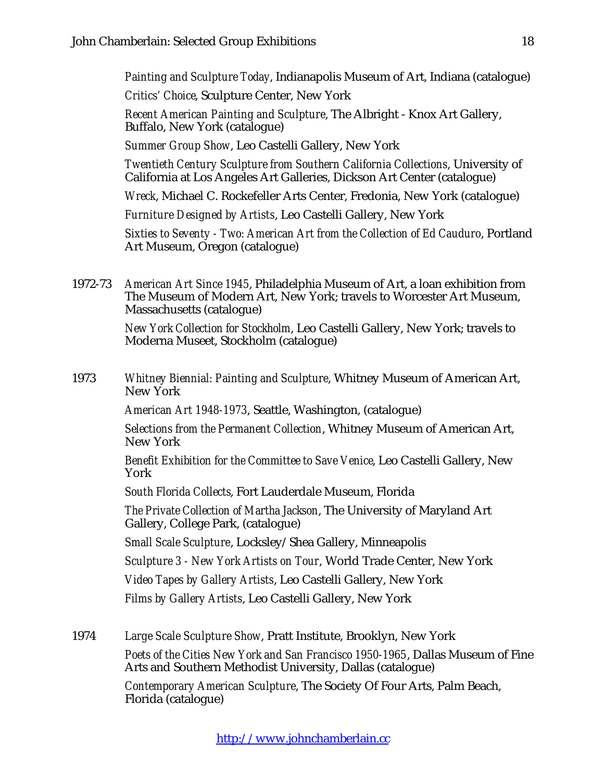*Painting and Sculpture Today*, Indianapolis Museum of Art, Indiana (catalogue)

*Critics' Choice*, Sculpture Center, New York

*Recent American Painting and Sculpture*, The Albright - Knox Art Gallery, Buffalo, New York (catalogue)

*Summer Group Show*, Leo Castelli Gallery, New York

*Twentieth Century Sculpture from Southern California Collections*, University of California at Los Angeles Art Galleries, Dickson Art Center (catalogue)

*Wreck*, Michael C. Rockefeller Arts Center, Fredonia, New York (catalogue)

*Furniture Designed by Artists*, Leo Castelli Gallery, New York

*Sixties to Seventy - Two: American Art from the Collection of Ed Cauduro*, Portland Art Museum, Oregon (catalogue)

1972-73 *American Art Since 1945*, Philadelphia Museum of Art, a loan exhibition from The Museum of Modern Art, New York; travels to Worcester Art Museum, Massachusetts (catalogue)

> *New York Collection for Stockholm*, Leo Castelli Gallery, New York; travels to Moderna Museet, Stockholm (catalogue)

1973 *Whitney Biennial: Painting and Sculpture*, Whitney Museum of American Art, New York

*American Art 1948-1973*, Seattle, Washington, (catalogue)

*Selections from the Permanent Collection*, Whitney Museum of American Art, New York

*Benefit Exhibition for the Committee to Save Venice*, Leo Castelli Gallery, New York

*South Florida Collects*, Fort Lauderdale Museum, Florida

*The Private Collection of Martha Jackson*, The University of Maryland Art Gallery, College Park, (catalogue)

*Small Scale Sculpture*, Locksley/Shea Gallery, Minneapolis

*Sculpture 3 - New York Artists on Tour*, World Trade Center, New York

*Video Tapes by Gallery Artists*, Leo Castelli Gallery, New York

*Films by Gallery Artists*, Leo Castelli Gallery, New York

1974 *Large Scale Sculpture Show*, Pratt Institute, Brooklyn, New York

*Poets of the Cities New York and San Francisco 1950-1965*, Dallas Museum of Fine Arts and Southern Methodist University, Dallas (catalogue)

*Contemporary American Sculpture*, The Society Of Four Arts, Palm Beach, Florida (catalogue)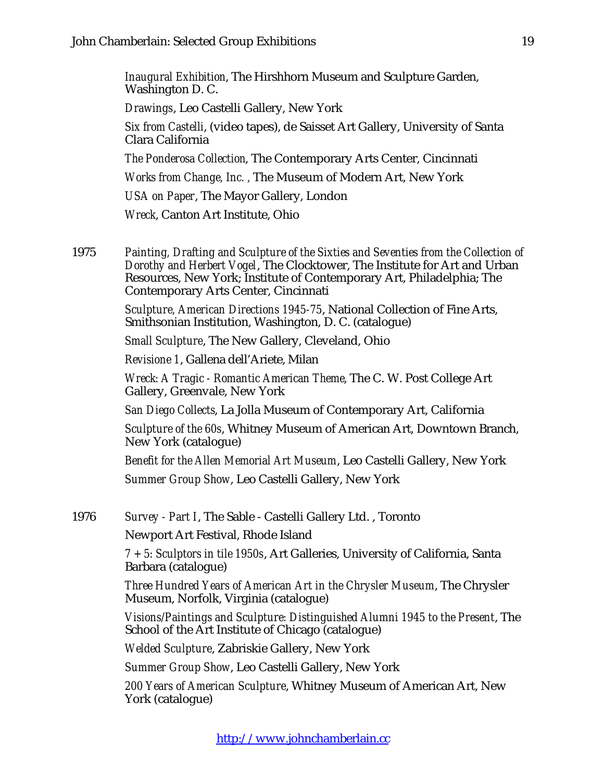*Inaugural Exhibition*, The Hirshhorn Museum and Sculpture Garden, Washington D. C.

*Drawings*, Leo Castelli Gallery, New York

*Six from Castelli*, (video tapes), de Saisset Art Gallery, University of Santa Clara California

*The Ponderosa Collection*, The Contemporary Arts Center, Cincinnati

*Works from Change, Inc. ,* The Museum of Modern Art, New York

*USA on Paper*, The Mayor Gallery, London

*Wreck*, Canton Art Institute, Ohio

1975 *Painting, Drafting and Sculpture of the Sixties and Seventies from the Collection of Dorothy and Herbert Vogel*, The Clocktower, The Institute for Art and Urban Resources, New York; Institute of Contemporary Art, Philadelphia; The Contemporary Arts Center, Cincinnati

> *Sculpture, American Directions 1945-75*, National Collection of Fine Arts, Smithsonian Institution, Washington, D. C. (catalogue)

*Small Sculpture*, The New Gallery, Cleveland, Ohio

*Revisione 1*, Gallena dell'Ariete, Milan

*Wreck: A Tragic - Romantic American Theme*, The C. W. Post College Art Gallery, Greenvale, New York

*San Diego Collects*, La Jolla Museum of Contemporary Art, California

*Sculpture of the 60s*, Whitney Museum of American Art, Downtown Branch, New York (catalogue)

*Benefit for the Allen Memorial Art Museum*, Leo Castelli Gallery, New York *Summer Group Show*, Leo Castelli Gallery, New York

1976 *Survey - Part I*, The Sable - Castelli Gallery Ltd. , Toronto

Newport Art Festival, Rhode Island

*7 + 5: Sculptors in tile 1950s*, Art Galleries, University of California, Santa Barbara (catalogue)

*Three Hundred Years of American Art in the Chrysler Museum*, The Chrysler Museum, Norfolk, Virginia (catalogue)

*Visions/Paintings and Sculpture: Distinguished Alumni 1945 to the Present*, The School of the Art Institute of Chicago (catalogue)

*Welded Sculpture*, Zabriskie Gallery, New York

*Summer Group Show*, Leo Castelli Gallery, New York

*200 Years of American Sculpture*, Whitney Museum of American Art, New York (catalogue)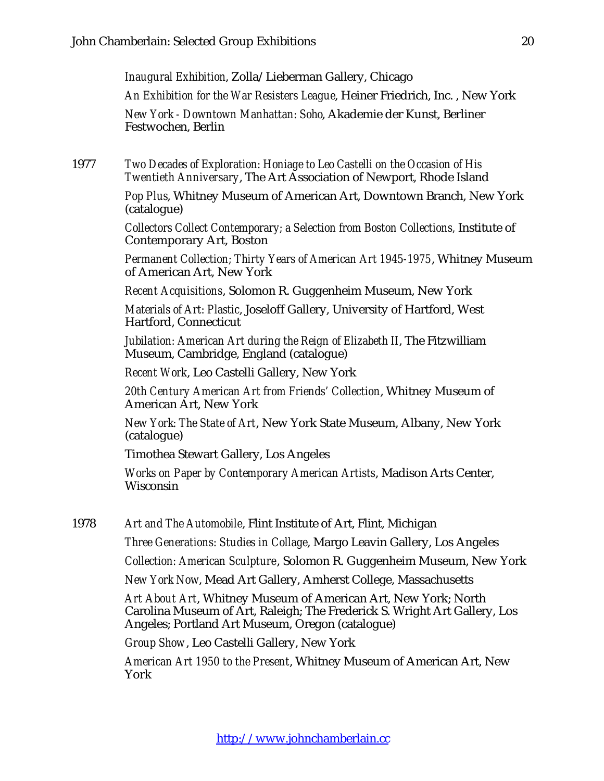*Inaugural Exhibition*, Zolla/Lieberman Gallery, Chicago

*An Exhibition for the War Resisters League*, Heiner Friedrich, Inc. , New York

*New York - Downtown Manhattan: Soho*, Akademie der Kunst, Berliner Festwochen, Berlin

1977 *Two Decades of Exploration: Honiage to Leo Castelli on the Occasion of His Twentieth Anniversary*, The Art Association of Newport, Rhode Island

> *Pop Plus*, Whitney Museum of American Art, Downtown Branch, New York (catalogue)

*Collectors Collect Contemporary; a Selection from Boston Collections,* Institute of Contemporary Art, Boston

*Permanent Collection; Thirty Years of American Art 1945-1975*, Whitney Museum of American Art, New York

*Recent Acquisitions*, Solomon R. Guggenheim Museum, New York

*Materials of Art: Plastic*, Joseloff Gallery, University of Hartford, West Hartford, Connecticut

*Jubilation: American Art during the Reign of Elizabeth II*, The Fitzwilliam Museum, Cambridge, England (catalogue)

*Recent Work*, Leo Castelli Gallery, New York

*20th Century American Art from Friends' Collection*, Whitney Museum of American Art, New York

*New York: The State of Art*, New York State Museum, Albany, New York (catalogue)

Timothea Stewart Gallery, Los Angeles

*Works on Paper by Contemporary American Artists*, Madison Arts Center, Wisconsin

1978 *Art and The Automobile*, Flint Institute of Art, Flint, Michigan

*Three Generations: Studies in Collage*, Margo Leavin Gallery, Los Angeles

*Collection: American Sculpture*, Solomon R. Guggenheim Museum, New York

*New York Now*, Mead Art Gallery, Amherst College, Massachusetts

*Art About Art*, Whitney Museum of American Art, New York; North Carolina Museum of Art, Raleigh; The Frederick S. Wright Art Gallery, Los Angeles; Portland Art Museum, Oregon (catalogue)

*Group Show*, Leo Castelli Gallery, New York

*American Art 1950 to the Present*, Whitney Museum of American Art, New York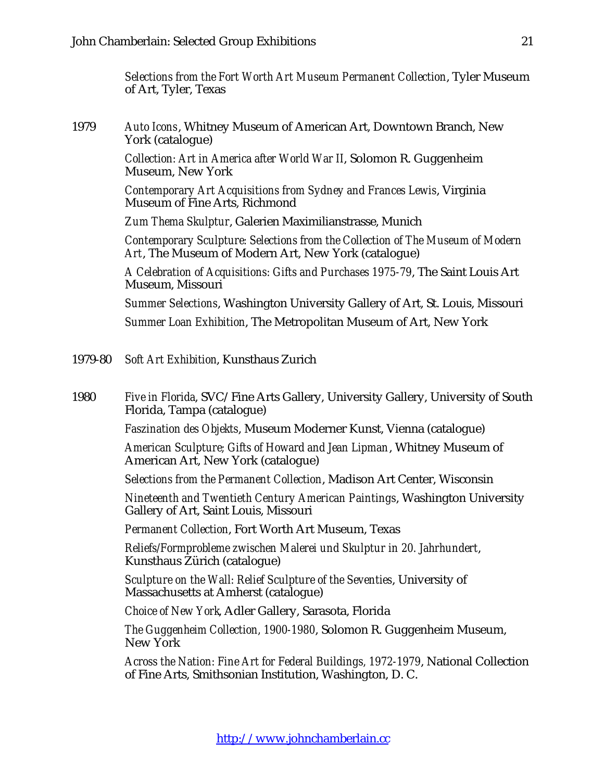*Selections from the Fort Worth Art Museum Permanent Collection*, Tyler Museum of Art, Tyler, Texas

1979 *Auto Icons*, Whitney Museum of American Art, Downtown Branch, New York (catalogue)

> *Collection: Art in America after World War II*, Solomon R. Guggenheim Museum, New York

> *Contemporary Art Acquisitions from Sydney and Frances Lewis*, Virginia Museum of Fine Arts, Richmond

*Zum Thema Skulptur*, Galerien Maximilianstrasse, Munich

*Contemporary Sculpture: Selections from the Collection of The Museum of Modern Art*, The Museum of Modern Art, New York (catalogue)

*A Celebration of Acquisitions: Gifts and Purchases 1975-79*, The Saint Louis Art Museum, Missouri

*Summer Selections*, Washington University Gallery of Art, St. Louis, Missouri *Summer Loan Exhibition*, The Metropolitan Museum of Art, New York

- 1979-80 *Soft Art Exhibition*, Kunsthaus Zurich
- 1980 *Five in Florida*, SVC/Fine Arts Gallery, University Gallery, University of South Florida, Tampa (catalogue)

*Faszination des Objekts*, Museum Moderner Kunst, Vienna (catalogue)

*American Sculpture; Gifts of Howard and Jean Lipman*, Whitney Museum of American Art, New York (catalogue)

*Selections from the Permanent Collection*, Madison Art Center, Wisconsin

*Nineteenth and Twentieth Century American Paintings*, Washington University Gallery of Art, Saint Louis, Missouri

*Permanent Collection*, Fort Worth Art Museum, Texas

*Reliefs/Formprobleme zwischen Malerei und Skulptur in 20. Jahrhundert*, Kunsthaus Zürich (catalogue)

*Sculpture on the Wall: Relief Sculpture of the Seventies*, University of Massachusetts at Amherst (catalogue)

*Choice of New York*, Adler Gallery, Sarasota, Florida

*The Guggenheim Collection, 1900-1980*, Solomon R. Guggenheim Museum, New York

*Across the Nation: Fine Art for Federal Buildings, 1972-1979*, National Collection of Fine Arts, Smithsonian Institution, Washington, D. C.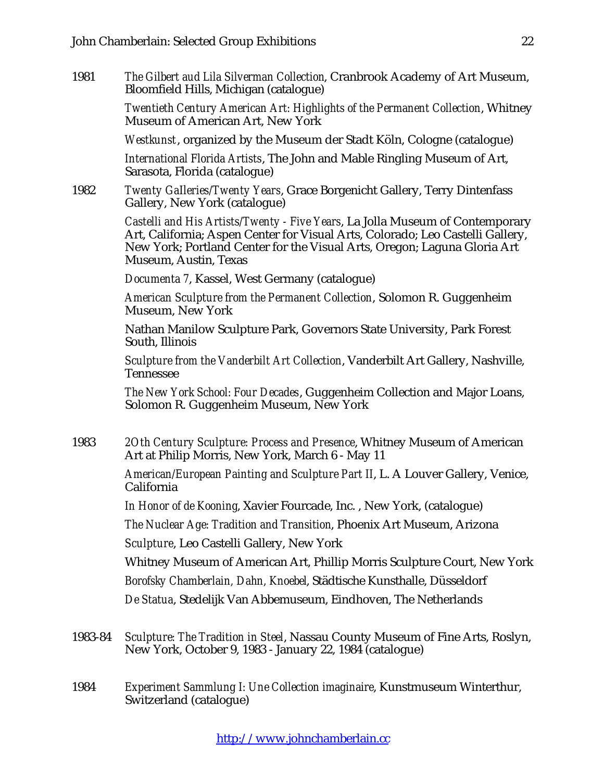1981 *The Gilbert aud Lila Silverman Collection*, Cranbrook Academy of Art Museum, Bloomfield Hills, Michigan (catalogue)

> *Twentieth Century American Art: Highlights of the Permanent Collection*, Whitney Museum of American Art, New York

*Westkunst*, organized by the Museum der Stadt Köln, Cologne (catalogue)

*International Florida Artists*, The John and Mable Ringling Museum of Art, Sarasota, Florida (catalogue)

1982 *Twenty GaIleries/Twenty Years*, Grace Borgenicht Gallery, Terry Dintenfass Gallery, New York (catalogue)

> *Castelli and His Artists/Twenty - Five Years*, La Jolla Museum of Contemporary Art, California; Aspen Center for Visual Arts, Colorado; Leo Castelli Gallery, New York; Portland Center for the Visual Arts, Oregon; Laguna Gloria Art Museum, Austin, Texas

*Documenta 7*, Kassel, West Germany (catalogue)

*American Sculpture from the Permanent Collection*, Solomon R. Guggenheim Museum, New York

Nathan Manilow Sculpture Park, Governors State University, Park Forest South, Illinois

*Sculpture from the Vanderbilt Art Collection*, Vanderbilt Art Gallery, Nashville, Tennessee

*The New York School: Four Decades*, Guggenheim Collection and Major Loans, Solomon R. Guggenheim Museum, New York

1983 *2Oth Century Sculpture: Process and Presence*, Whitney Museum of American Art at Philip Morris, New York, March 6 - May 11

> *American/European Painting and Sculpture Part II*, L. A Louver Gallery, Venice, California

*In Honor of de Kooning*, Xavier Fourcade, Inc. , New York, (catalogue)

*The Nuclear Age: Tradition and Transition*, Phoenix Art Museum, Arizona

*Sculpture*, Leo Castelli Gallery, New York

Whitney Museum of American Art, Phillip Morris Sculpture Court, New York *Borofsky Chamberlain, Dahn, Knoebel*, Städtische Kunsthalle, Düsseldorf

*De Statua*, Stedelijk Van Abbemuseum, Eindhoven, The Netherlands

- 1983-84 *Sculpture: The Tradition in Steel*, Nassau County Museum of Fine Arts, Roslyn, New York, October 9, 1983 - January 22, 1984 (catalogue)
- 1984 *Experiment Sammlung I: Une Collection imaginaire*, Kunstmuseum Winterthur, Switzerland (catalogue)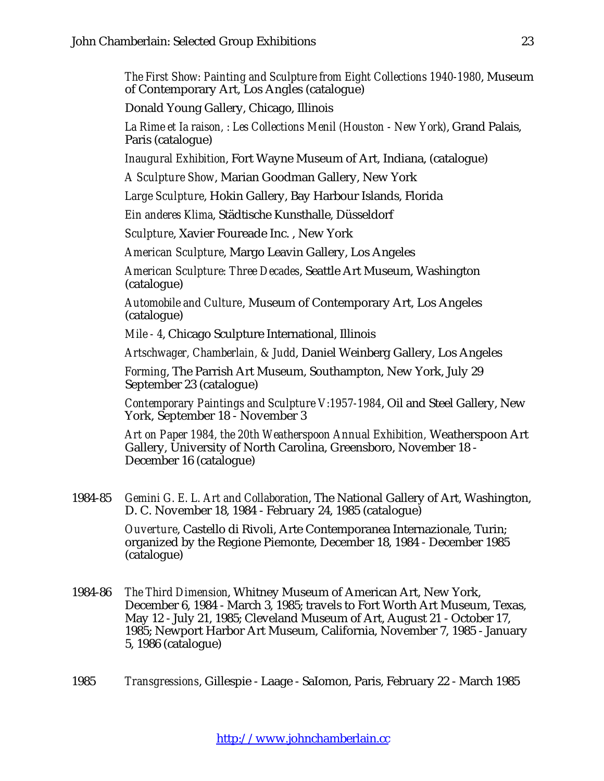*The First Show: Painting and Sculpture from Eight Collections 1940-1980*, Museum of Contemporary Art, Los Angles (catalogue)

Donald Young Gallery, Chicago, Illinois

*La Rime et Ia raison, : Les Collections Menil (Houston - New York)*, Grand Palais, Paris (catalogue)

*Inaugural Exhibition*, Fort Wayne Museum of Art, Indiana, (catalogue)

*A Sculpture Show*, Marian Goodman Gallery, New York

*Large Sculpture*, Hokin Gallery, Bay Harbour Islands, Florida

*Ein anderes Klima*, Städtische Kunsthalle, Düsseldorf

*Sculpture*, Xavier Foureade Inc. , New York

*American Sculpture*, Margo Leavin Gallery, Los Angeles

*American Sculpture: Three Decades*, Seattle Art Museum, Washington (catalogue)

*Automobile and Culture*, Museum of Contemporary Art, Los Angeles (catalogue)

*Mile - 4*, Chicago Sculpture International, Illinois

*Artschwager, Chamberlain, & Judd*, Daniel Weinberg Gallery, Los Angeles

*Forming*, The Parrish Art Museum, Southampton, New York, July 29 September 23 (catalogue)

*Contemporary Paintings and Sculpture V:1957-1984*, Oil and Steel Gallery, New York, September 18 - November 3

*Art on Paper 1984, the 20th Weatherspoon Annual Exhibition,* Weatherspoon Art Gallery, University of North Carolina, Greensboro, November 18 - December 16 (catalogue)

- 1984-85 *Gemini G. E. L. Art and Collaboration*, The National Gallery of Art, Washington, D. C. November 18, 1984 - February 24, 1985 (catalogue) *Ouverture*, Castello di Rivoli, Arte Contemporanea Internazionale, Turin; organized by the Regione Piemonte, December 18, 1984 - December 1985 (catalogue)
- 1984-86 *The Third Dimension*, Whitney Museum of American Art, New York, December 6, 1984 - March 3, 1985; travels to Fort Worth Art Museum, Texas, May 12 - July 21, 1985; Cleveland Museum of Art, August 21 - October 17, 1985; Newport Harbor Art Museum, California, November 7, 1985 - January 5, 1986 (catalogue)
- 1985 *Transgressions*, Gillespie Laage SaIomon, Paris, February 22 March 1985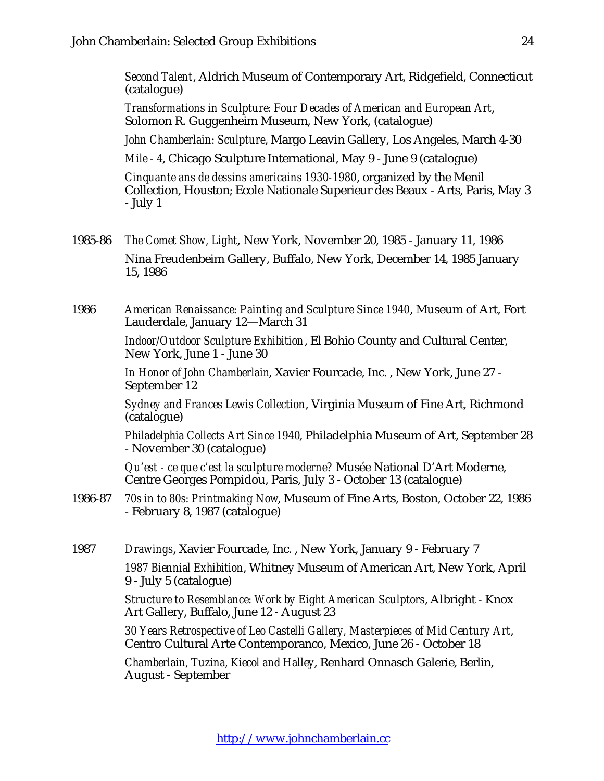*Second Talent*, Aldrich Museum of Contemporary Art, Ridgefield, Connecticut (catalogue)

*Transformations in Sculpture: Four Decades of American and European Art*, Solomon R. Guggenheim Museum, New York, (catalogue)

*John Chamberlain: Sculpture*, Margo Leavin Gallery, Los Angeles, March 4-30

*Mile - 4*, Chicago Sculpture International, May 9 - June 9 (catalogue)

*Cinquante ans de dessins americains 1930-1980*, organized by the Menil Collection, Houston; Ecole Nationale Superieur des Beaux - Arts, Paris, May 3 - July 1

- 1985-86 *The Comet Show, Light*, New York, November 20, 1985 January 11, 1986 Nina Freudenbeim Gallery, Buffalo, New York, December 14, 1985 January 15, 1986
- 1986 *American Renaissance: Painting and Sculpture Since 1940*, Museum of Art, Fort Lauderdale, January 12—March 31

*Indoor/Outdoor Sculpture Exhibition*, El Bohio County and Cultural Center, New York, June 1 - June 30

*In Honor of John Chamberlain*, Xavier Fourcade, Inc. , New York, June 27 - September 12

*Sydney and Frances Lewis Collection*, Virginia Museum of Fine Art, Richmond (catalogue)

*Philadelphia Collects Art Since 1940*, Philadelphia Museum of Art, September 28 - November 30 (catalogue)

*Qu'est - ce que c'est la sculpture moderne?* Musée National D'Art Moderne, Centre Georges Pompidou, Paris, July 3 - October 13 (catalogue)

- 1986-87 *70s in to 80s: Printmaking Now*, Museum of Fine Arts, Boston, October 22, 1986 - February 8, 1987 (catalogue)
- 1987 *Drawings*, Xavier Fourcade, Inc. , New York, January 9 February 7

*1987 Biennial Exhibition*, Whitney Museum of American Art, New York, April 9 - July 5 (catalogue)

*Structure to Resemblance: Work by Eight American Sculptors*, Albright - Knox Art Gallery, Buffalo, June 12 - August 23

*30 Years Retrospective of Leo Castelli Gallery, Masterpieces of Mid Century Art*, Centro Cultural Arte Contemporanco, Mexico, June 26 - October 18

*Chamberlain, Tuzina, Kiecol and Halley*, Renhard Onnasch Galerie, Berlin, August - September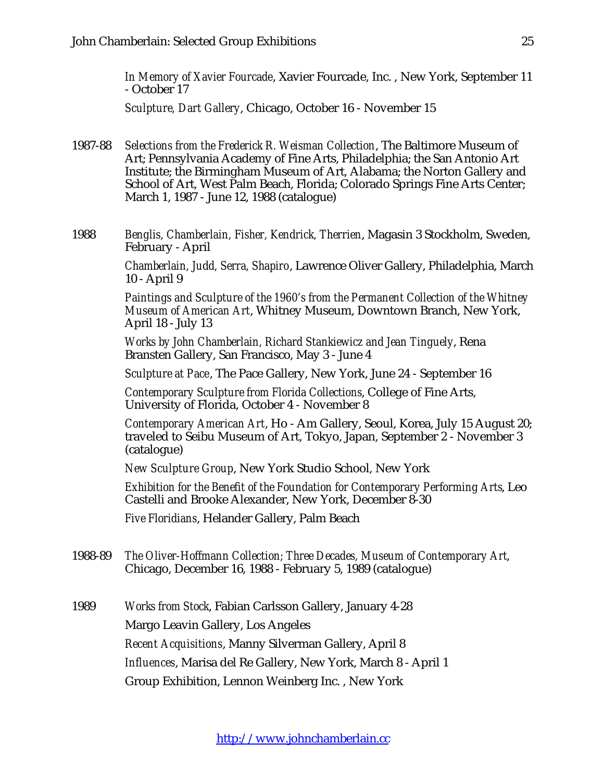*In Memory of Xavier Fourcade*, Xavier Fourcade, Inc. , New York, September 11 - October 17

*Sculpture, Dart Gallery*, Chicago, October 16 - November 15

- 1987-88 *Selections from the Frederick R. Weisman Collection*, The Baltimore Museum of Art; Pennsylvania Academy of Fine Arts, Philadelphia; the San Antonio Art Institute; the Birmingham Museum of Art, Alabama; the Norton Gallery and School of Art, West Palm Beach, Florida; Colorado Springs Fine Arts Center; March 1, 1987 - June 12, 1988 (catalogue)
- 1988 *Benglis, Chamberlain, Fisher, Kendrick, Therrien*, Magasin 3 Stockholm, Sweden, February - April

*Chamberlain, Judd, Serra, Shapiro*, Lawrence Oliver Gallery, Philadelphia, March 10 - April 9

*Paintings and Sculpture of the 1960's from the Permanent Collection of the Whitney Museum of American Art*, Whitney Museum, Downtown Branch, New York, April 18 - July 13

*Works by John Chamberlain, Richard Stankiewicz and Jean Tinguely*, Rena Bransten Gallery, San Francisco, May 3 - June 4

*Sculpture at Pace*, The Pace Gallery, New York, June 24 - September 16

*Contemporary Sculpture from Florida Collections*, College of Fine Arts, University of Florida, October 4 - November 8

*Contemporary American Art*, Ho - Am Gallery, Seoul, Korea, July 15 August 20; traveled to Seibu Museum of Art, Tokyo, Japan, September 2 - November 3 (catalogue)

*New Sculpture Group*, New York Studio School, New York

*Exhibition for the Benefit of the Foundation for Contemporary Performing Arts*, Leo Castelli and Brooke Alexander, New York, December 8-30

*Five Floridians*, Helander Gallery, Palm Beach

1988-89 *The Oliver-Hoffmann Collection; Three Decades, Museum of Contemporary Art*, Chicago, December 16, 1988 - February 5, 1989 (catalogue)

1989 *Works from Stock*, Fabian Carlsson Gallery, January 4-28 Margo Leavin Gallery, Los Angeles *Recent Acquisitions*, Manny Silverman Gallery, April 8 *Influences*, Marisa del Re Gallery, New York, March 8 - April 1 Group Exhibition, Lennon Weinberg Inc. , New York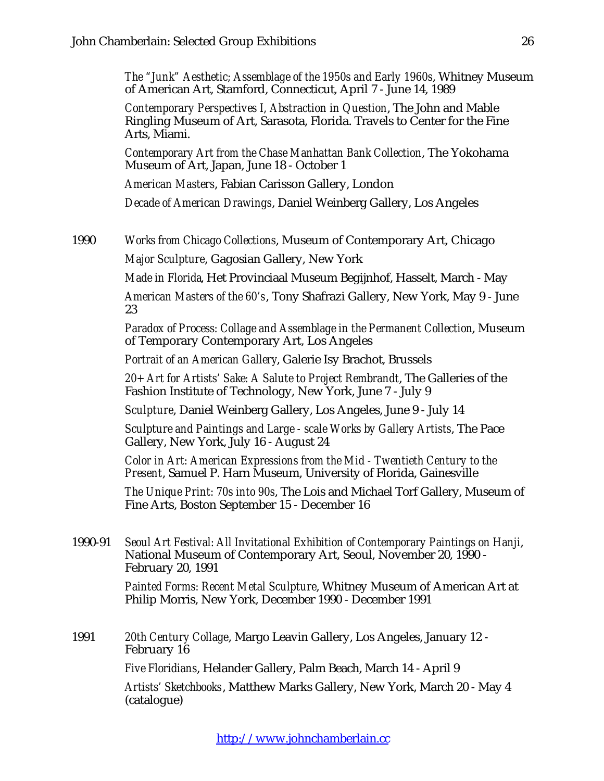*The "Junk" Aesthetic; Assemblage of the 1950s and Early 1960s*, Whitney Museum of American Art, Stamford, Connecticut, April 7 - June 14, 1989

*Contemporary Perspectives I, Abstraction in Question*, The John and Mable Ringling Museum of Art, Sarasota, Florida. Travels to Center for the Fine Arts, Miami.

*Contemporary Art from the Chase Manhattan Bank Collection*, The Yokohama Museum of Art, Japan, June 18 - October 1

*American Masters*, Fabian Carisson Gallery, London

*Decade of American Drawings*, Daniel Weinberg Gallery, Los Angeles

1990 *Works from Chicago Collections*, Museum of Contemporary Art, Chicago *Major Sculpture*, Gagosian Gallery, New York

*Made in Florida*, Het Provinciaal Museum Begijnhof, Hasselt, March - May

*American Masters of the 60's*, Tony Shafrazi Gallery, New York, May 9 - June 23

*Paradox of Process: Collage and Assemblage in the Permanent Collection*, Museum of Temporary Contemporary Art, Los Angeles

*Portrait of an American Gallery*, Galerie Isy Brachot, Brussels

*20+ Art for Artists' Sake: A Salute to Project Rembrandt*, The Galleries of the Fashion Institute of Technology, New York, June 7 - July 9

*Sculpture*, Daniel Weinberg Gallery, Los Angeles, June 9 - July 14

*Sculpture and Paintings and Large - scale Works by Gallery Artists*, The Pace Gallery, New York, July 16 - August 24

*Color in Art: American Expressions from the Mid - Twentieth Century to the Present*, Samuel P. Harn Museum, University of Florida, Gainesville

*The Unique Print: 70s into 90s*, The Lois and Michael Torf Gallery, Museum of Fine Arts, Boston September 15 - December 16

1990-91 *Seoul Art Festival: All Invitational Exhibition of Contemporary Paintings on Hanji*, National Museum of Contemporary Art, Seoul, November 20, 1990 - February 20, 1991

> *Painted Forms: Recent Metal Sculpture*, Whitney Museum of American Art at Philip Morris, New York, December 1990 - December 1991

1991 *20th Century Collage*, Margo Leavin Gallery, Los Angeles, January 12 - February 16

*Five Floridians*, Helander Gallery, Palm Beach, March 14 - April 9

*Artists' Sketchbooks*, Matthew Marks Gallery, New York, March 20 - May 4 (catalogue)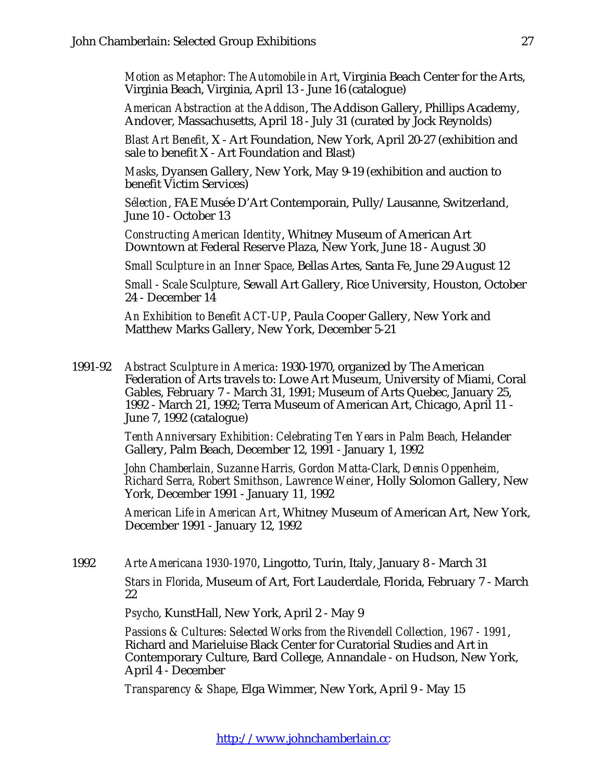*Motion as Metaphor: The Automobile in Art*, Virginia Beach Center for the Arts, Virginia Beach, Virginia, April 13 - June 16 (catalogue)

*American Abstraction at the Addison*, The Addison Gallery, Phillips Academy, Andover, Massachusetts, April 18 - July 31 (curated by Jock Reynolds)

*Blast Art Benefit*, X - Art Foundation, New York, April 20-27 (exhibition and sale to benefit X - Art Foundation and Blast)

*Masks*, Dyansen Gallery, New York, May 9-19 (exhibition and auction to benefit Victim Services)

*Sélection*, FAE Musée D'Art Contemporain, Pully/Lausanne, Switzerland, June 10 - October 13

*Constructing American Identity*, Whitney Museum of American Art Downtown at Federal Reserve Plaza, New York, June 18 - August 30

*Small Sculpture in an Inner Space*, Bellas Artes, Santa Fe, June 29 August 12

*Small - Scale Sculpture*, Sewall Art Gallery, Rice University, Houston, October 24 - December 14

*An Exhibition to Benefit ACT-UP*, Paula Cooper Gallery, New York and Matthew Marks Gallery, New York, December 5-21

1991-92 *Abstract Sculpture in America*: 1930-1970, organized by The American Federation of Arts travels to: Lowe Art Museum, University of Miami, Coral Gables, February 7 - March 31, 1991; Museum of Arts Quebec, January 25, 1992 - March 21, 1992; Terra Museum of American Art, Chicago, April 11 - June 7, 1992 (catalogue)

> *Tenth Anniversary Exhibition: Celebrating Ten Years in Palm Beach,* Helander Gallery, Palm Beach, December 12, 1991 - January 1, 1992

*John Chamberlain, Suzanne Harris, Gordon Matta-Clark, Dennis Oppenheim, Richard Serra, Robert Smithson, Lawrence Weiner*, Holly Solomon Gallery, New York, December 1991 - January 11, 1992

*American Life in American Art*, Whitney Museum of American Art, New York, December 1991 - January 12, 1992

1992 *Arte Americana 1930-1970*, Lingotto, Turin, Italy, January 8 - March 31 *Stars in Florida*, Museum of Art, Fort Lauderdale, Florida, February 7 - March 22

*Psycho*, KunstHall, New York, April 2 - May 9

*Passions & Cultures: Selected Works from the Rivendell Collection, 1967 - 1991*, Richard and Marieluise Black Center for Curatorial Studies and Art in Contemporary Culture, Bard College, Annandale - on Hudson, New York, April 4 - December

*Transparency & Shape*, Elga Wimmer, New York, April 9 - May 15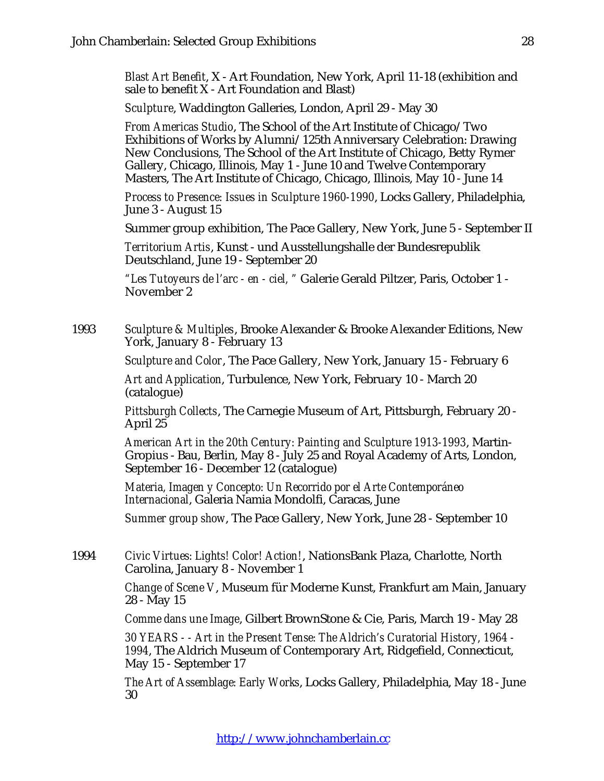*Blast Art Benefit*, X - Art Foundation, New York, April 11-18 (exhibition and sale to benefit X - Art Foundation and Blast)

*Sculpture*, Waddington Galleries, London, April 29 - May 30

*From Americas Studio*, The School of the Art Institute of Chicago/Two Exhibitions of Works by Alumni/125th Anniversary Celebration: Drawing New Conclusions, The School of the Art Institute of Chicago, Betty Rymer Gallery, Chicago, Illinois, May 1 - June 10 and Twelve Contemporary Masters, The Art Institute of Chicago, Chicago, Illinois, May 10 - June 14

*Process to Presence: Issues in Sculpture 1960-1990*, Locks Gallery, Philadelphia, June 3 - August 15

Summer group exhibition, The Pace Gallery, New York, June 5 - September II

*Territorium Artis*, Kunst - und Ausstellungshalle der Bundesrepublik Deutschland, June 19 - September 20

*"Les Tutoyeurs de l'arc - en - ciel, "* Galerie Gerald Piltzer, Paris, October 1 - November 2

1993 *Sculpture & Multiples*, Brooke Alexander & Brooke Alexander Editions, New York, January 8 - February 13

*Sculpture and Color*, The Pace Gallery, New York, January 15 - February 6

*Art and Application*, Turbulence, New York, February 10 - March 20 (catalogue)

*Pittsburgh Collects*, The Carnegie Museum of Art, Pittsburgh, February 20 - April 25

*American Art in the 20th Century: Painting and Sculpture 1913-1993*, Martin-Gropius - Bau, Berlin, May 8 - July 25 and Royal Academy of Arts, London, September 16 - December 12 (catalogue)

*Materia, Imagen y Concepto: Un Recorrido por el Arte Contemporáneo Internacional*, Galeria Namia Mondolfi, Caracas, June

*Summer group show*, The Pace Gallery, New York, June 28 - September 10

1994 *Civic Virtues: Lights! Color! Action!*, NationsBank Plaza, Charlotte, North Carolina, January 8 - November 1

> *Change of Scene V*, Museum für Moderne Kunst, Frankfurt am Main, January 28 - May 15

*Comme dans une Image*, Gilbert BrownStone & Cie, Paris, March 19 - May 28

*30 YEARS - - Art in the Present Tense: The Aldrich's Curatorial History, 1964 - 1994*, The Aldrich Museum of Contemporary Art, Ridgefield, Connecticut, May 15 - September 17

*The Art of Assemblage: Early Works*, Locks Gallery, Philadelphia, May 18 - June 30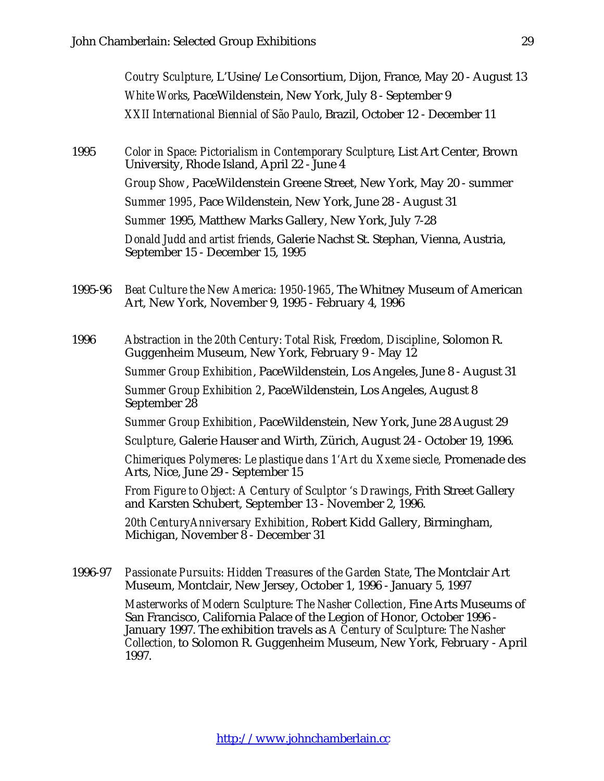*Coutry Sculpture*, L'Usine/Le Consortium, Dijon, France, May 20 - August 13 *White Works*, PaceWildenstein, New York, July 8 - September 9 *XXII International Biennial of São Paulo*, Brazil, October 12 - December 11

- 1995 *Color in Space: Pictorialism in Contemporary Sculpture*, List Art Center, Brown University, Rhode Island, April 22 - June 4 *Group Show*, PaceWildenstein Greene Street, New York, May 20 - summer *Summer 1995*, Pace Wildenstein, New York, June 28 - August 31 *Summer* 1995, Matthew Marks Gallery, New York, July 7-28 *Donald Judd and artist friends*, Galerie Nachst St. Stephan, Vienna, Austria, September 15 - December 15, 1995
- 1995-96 *Beat Culture the New America: 1950-1965*, The Whitney Museum of American Art, New York, November 9, 1995 - February 4, 1996
- 1996 *Abstraction in the 20th Century: Total Risk, Freedom, Discipline*, Solomon R. Guggenheim Museum, New York, February 9 - May 12

*Summer Group Exhibition*, PaceWildenstein, Los Angeles, June 8 - August 31

*Summer Group Exhibition 2*, PaceWildenstein, Los Angeles, August 8 September 28

*Summer Group Exhibition*, PaceWildenstein, New York, June 28 August 29

*Sculpture*, Galerie Hauser and Wirth, Zürich, August 24 - October 19, 1996.

*Chimeriques Polymeres: Le plastique dans 1'Art du Xxeme siecle,* Promenade des Arts, Nice, June 29 - September 15

*From Figure to Object: A Century of Sculptor 's Drawings*, Frith Street Gallery and Karsten Schubert, September 13 - November 2, 1996.

*20th CenturyAnniversary Exhibition*, Robert Kidd Gallery, Birmingham, Michigan, November 8 - December 31

1996-97 *Passionate Pursuits: Hidden Treasures of the Garden State*, The Montclair Art Museum, Montclair, New Jersey, October 1, 1996 - January 5, 1997

> *Masterworks of Modern Sculpture: The Nasher Collection*, Fine Arts Museums of San Francisco, California Palace of the Legion of Honor, October 1996 - January 1997. The exhibition travels as *A Century of Sculpture: The Nasher Collection,* to Solomon R. Guggenheim Museum, New York, February - April 1997.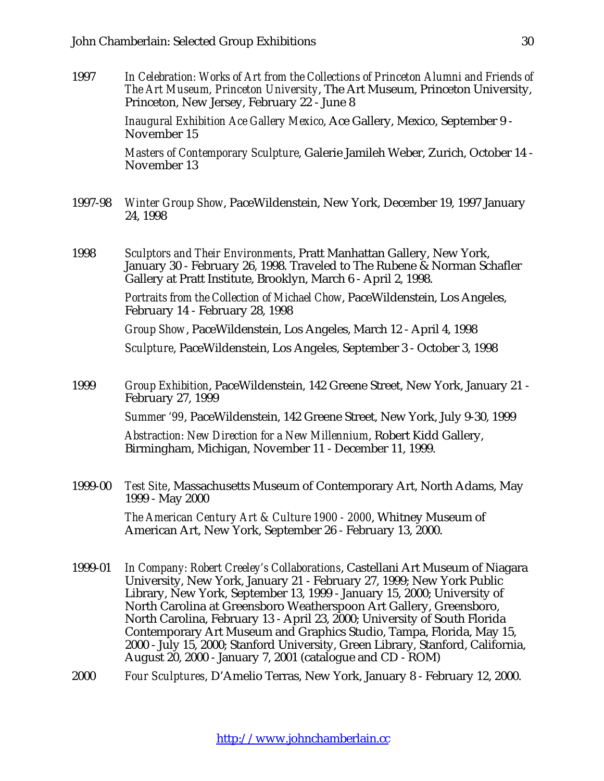1997 *In Celebration: Works of Art from the Collections of Princeton Alumni and Friends of The Art Museum, Princeton University*, The Art Museum, Princeton University, Princeton, New Jersey, February 22 - June 8

> *Inaugural Exhibition Ace Gallery Mexico*, Ace Gallery, Mexico, September 9 - November 15

*Masters of Contemporary Sculpture*, Galerie Jamileh Weber, Zurich, October 14 - November 13

- 1997-98 *Winter Group Show*, PaceWildenstein, New York, December 19, 1997 January 24, 1998
- 1998 *Sculptors and Their Environments*, Pratt Manhattan Gallery, New York, January 30 - February 26, 1998. Traveled to The Rubene & Norman Schafler Gallery at Pratt Institute, Brooklyn, March 6 - April 2, 1998.

*Portraits from the Collection of Michael Chow*, PaceWildenstein, Los Angeles, February 14 - February 28, 1998

*Group Show*, PaceWildenstein, Los Angeles, March 12 - April 4, 1998

*Sculpture*, PaceWildenstein, Los Angeles, September 3 - October 3, 1998

1999 *Group Exhibition*, PaceWildenstein, 142 Greene Street, New York, January 21 - February 27, 1999

*Summer '99*, PaceWildenstein, 142 Greene Street, New York, July 9-30, 1999

*Abstraction: New Direction for a New Millennium*, Robert Kidd Gallery, Birmingham, Michigan, November 11 - December 11, 1999.

1999-00 *Test Site*, Massachusetts Museum of Contemporary Art, North Adams, May 1999 - May 2000

*The American Century Art & Culture 1900 - 2000*, Whitney Museum of American Art, New York, September 26 - February 13, 2000.

- 1999-01 *In Company: Robert Creeley's Collaborations*, Castellani Art Museum of Niagara University, New York, January 21 - February 27, 1999; New York Public Library, New York, September 13, 1999 - January 15, 2000; University of North Carolina at Greensboro Weatherspoon Art Gallery, Greensboro, North Carolina, February 13 - April 23, 2000; University of South Florida Contemporary Art Museum and Graphics Studio, Tampa, Florida, May 15, 2000 - July 15, 2000; Stanford University, Green Library, Stanford, California, August 20, 2000 - January 7, 2001 (catalogue and CD - ROM)
- 2000 *Four Sculptures*, D'Amelio Terras, New York, January 8 February 12, 2000.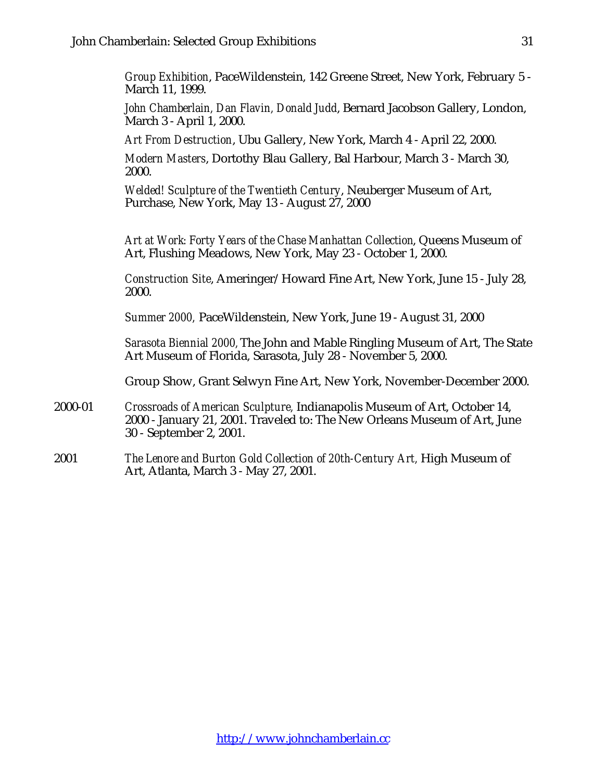*Group Exhibition*, PaceWildenstein, 142 Greene Street, New York, February 5 - March 11, 1999.

*John Chamberlain, Dan Flavin, Donald Judd*, Bernard Jacobson Gallery, London, March 3 - April 1, 2000.

*Art From Destruction*, Ubu Gallery, New York, March 4 - April 22, 2000.

*Modern Masters*, Dortothy Blau Gallery, Bal Harbour, March 3 - March 30, 2000.

*Welded! Sculpture of the Twentieth Century*, Neuberger Museum of Art, Purchase, New York, May 13 - August 27, 2000

*Art at Work: Forty Years of the Chase Manhattan Collection*, Queens Museum of Art, Flushing Meadows, New York, May 23 - October 1, 2000.

*Construction Site*, Ameringer/Howard Fine Art, New York, June 15 - July 28, 2000.

*Summer 2000,* PaceWildenstein, New York, June 19 - August 31, 2000

*Sarasota Biennial 2000,* The John and Mable Ringling Museum of Art, The State Art Museum of Florida, Sarasota, July 28 - November 5, 2000.

Group Show, Grant Selwyn Fine Art, New York, November-December 2000.

- 2000-01 *Crossroads of American Sculpture,* Indianapolis Museum of Art, October 14, 2000 - January 21, 2001. Traveled to: The New Orleans Museum of Art, June 30 - September 2, 2001.
- 2001 *The Lenore and Burton Gold Collection of 20th-Century Art,* High Museum of Art, Atlanta, March 3 - May 27, 2001.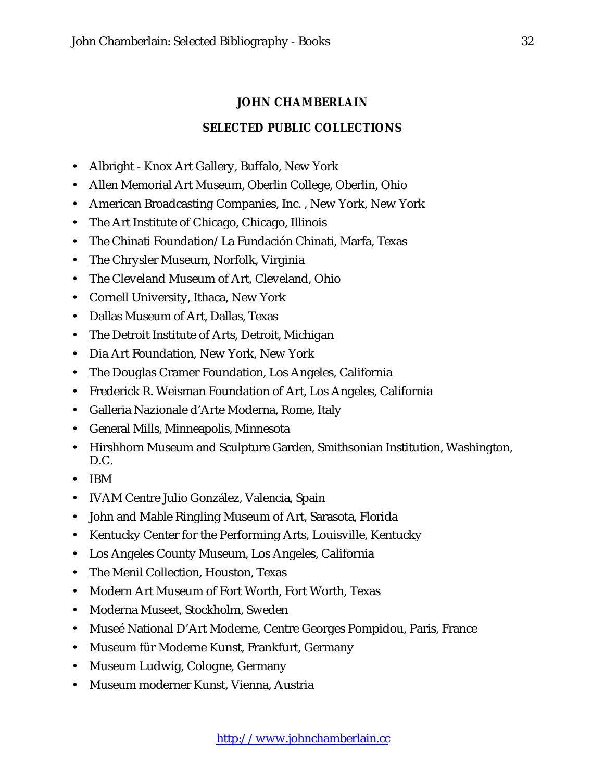# **JOHN CHAMBERLAIN**

## **SELECTED PUBLIC COLLECTIONS**

- Albright Knox Art Gallery, Buffalo, New York
- Allen Memorial Art Museum, Oberlin College, Oberlin, Ohio
- American Broadcasting Companies, Inc. , New York, New York
- The Art Institute of Chicago, Chicago, Illinois
- The Chinati Foundation/La Fundación Chinati, Marfa, Texas
- The Chrysler Museum, Norfolk, Virginia
- The Cleveland Museum of Art, Cleveland, Ohio
- Cornell University, Ithaca, New York
- Dallas Museum of Art, Dallas, Texas
- The Detroit Institute of Arts, Detroit, Michigan
- Dia Art Foundation, New York, New York
- The Douglas Cramer Foundation, Los Angeles, California
- Frederick R. Weisman Foundation of Art, Los Angeles, California
- Galleria Nazionale d'Arte Moderna, Rome, Italy
- General Mills, Minneapolis, Minnesota
- Hirshhorn Museum and Sculpture Garden, Smithsonian Institution, Washington, D.C.
- IBM
- IVAM Centre Julio González, Valencia, Spain
- John and Mable Ringling Museum of Art, Sarasota, Florida
- Kentucky Center for the Performing Arts, Louisville, Kentucky
- Los Angeles County Museum, Los Angeles, California
- The Menil Collection, Houston, Texas
- Modern Art Museum of Fort Worth, Fort Worth, Texas
- Moderna Museet, Stockholm, Sweden
- Museé National D'Art Moderne, Centre Georges Pompidou, Paris, France
- Museum für Moderne Kunst, Frankfurt, Germany
- Museum Ludwig, Cologne, Germany
- Museum moderner Kunst, Vienna, Austria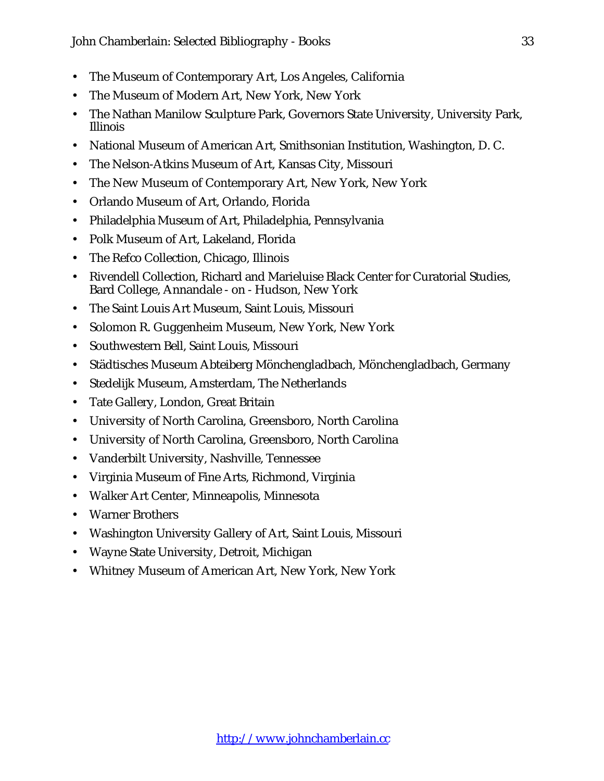- The Museum of Contemporary Art, Los Angeles, California
- The Museum of Modern Art, New York, New York
- The Nathan Manilow Sculpture Park, Governors State University, University Park, Illinois
- National Museum of American Art, Smithsonian Institution, Washington, D. C.
- The Nelson-Atkins Museum of Art, Kansas City, Missouri
- The New Museum of Contemporary Art, New York, New York
- Orlando Museum of Art, Orlando, Florida
- Philadelphia Museum of Art, Philadelphia, Pennsylvania
- Polk Museum of Art, Lakeland, Florida
- The Refco Collection, Chicago, Illinois
- Rivendell Collection, Richard and Marieluise Black Center for Curatorial Studies, Bard College, Annandale - on - Hudson, New York
- The Saint Louis Art Museum, Saint Louis, Missouri
- Solomon R. Guggenheim Museum, New York, New York
- Southwestern Bell, Saint Louis, Missouri
- Städtisches Museum Abteiberg Mönchengladbach, Mönchengladbach, Germany
- Stedelijk Museum, Amsterdam, The Netherlands
- Tate Gallery, London, Great Britain
- University of North Carolina, Greensboro, North Carolina
- University of North Carolina, Greensboro, North Carolina
- Vanderbilt University, Nashville, Tennessee
- Virginia Museum of Fine Arts, Richmond, Virginia
- Walker Art Center, Minneapolis, Minnesota
- Warner Brothers
- Washington University Gallery of Art, Saint Louis, Missouri
- Wayne State University, Detroit, Michigan
- Whitney Museum of American Art, New York, New York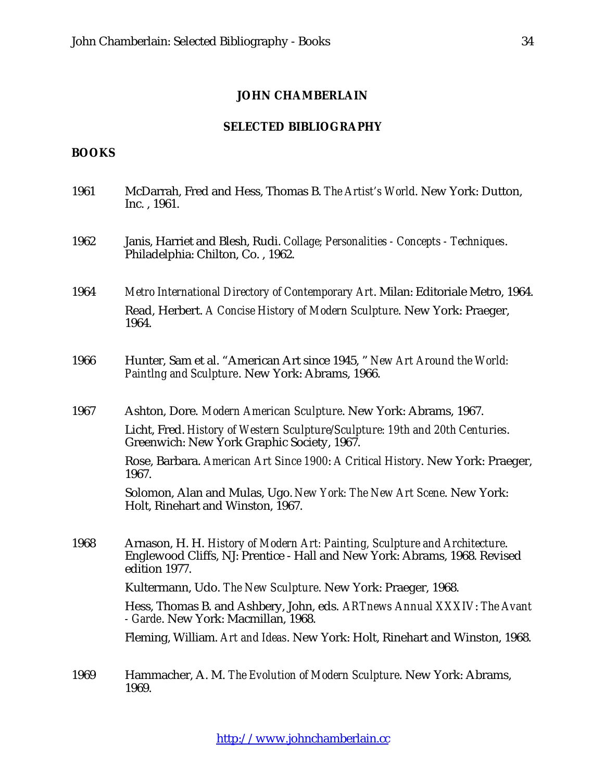#### **JOHN CHAMBERLAIN**

### **SELECTED BIBLIOGRAPHY**

### **BOOKS**

1961 McDarrah, Fred and Hess, Thomas B. *The Artist's World*. New York: Dutton, Inc. , 1961. 1962 Janis, Harriet and Blesh, Rudi. *Collage; Personalities - Concepts - Techniques*. Philadelphia: Chilton, Co. , 1962. 1964 *Metro International Directory of Contemporary Art*. Milan: Editoriale Metro, 1964. Read, Herbert. *A Concise History of Modern Sculpture*. New York: Praeger, 1964. 1966 Hunter, Sam et al. "American Art since 1945, " *New Art Around the World: Paintlng and Sculpture*. New York: Abrams, 1966. 1967 Ashton, Dore. *Modern American Sculpture*. New York: Abrams, 1967. Licht, Fred. *History of Western Sculpture/Sculpture: 19th and 20th Centuries*. Greenwich: New York Graphic Society, 1967. Rose, Barbara. *American Art Since 1900*: *A Critical History*. New York: Praeger, 1967. Solomon, Alan and Mulas, Ugo. *New York: The New Art Scene*. New York: Holt, Rinehart and Winston, 1967. 1968 Arnason, H. H. *History of Modern Art: Painting, Sculpture and Architecture*. Englewood Cliffs, NJ: Prentice - Hall and New York: Abrams, 1968. Revised edition 1977. Kultermann, Udo. *The New Sculpture*. New York: Praeger, 1968. Hess, Thomas B. and Ashbery, John, eds. *ARTnews Annual XXXIV*: *The Avant - Garde*. New York: Macmillan, 1968. Fleming, William. *Art and Ideas*. New York: Holt, Rinehart and Winston, 1968. 1969 Hammacher, A. M. *The Evolution of Modern Sculpture*. New York: Abrams, 1969.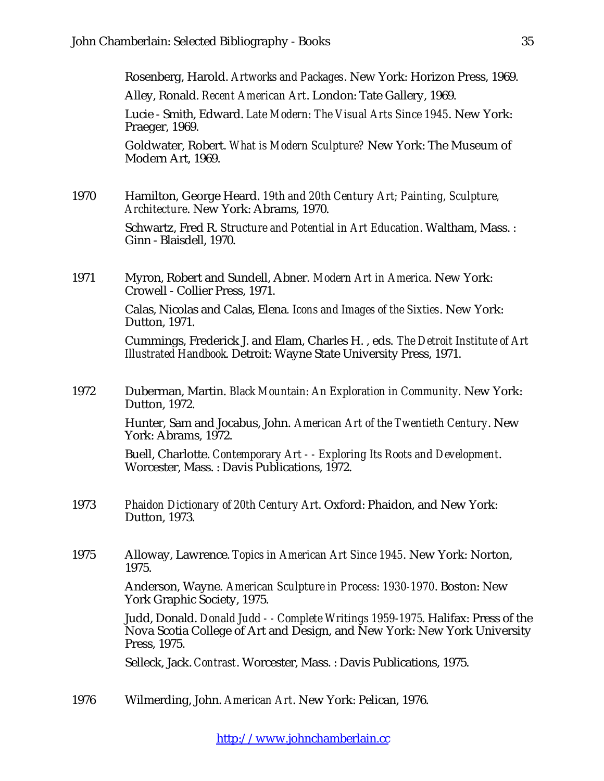Rosenberg, Harold. *Artworks and Packages*. New York: Horizon Press, 1969.

Alley, Ronald. *Recent American Art*. London: Tate Gallery, 1969.

Lucie - Smith, Edward. *Late Modern: The Visual Arts Since 1945*. New York: Praeger, 1969.

Goldwater, Robert. *What is Modern Sculpture?* New York: The Museum of Modern Art, 1969.

1970 Hamilton, George Heard. *19th and 20th Century Art; Painting, Sculpture, Architecture*. New York: Abrams, 1970.

> Schwartz, Fred R. *Structure and Potential in Art Education*. Waltham, Mass. : Ginn - Blaisdell, 1970.

1971 Myron, Robert and Sundell, Abner. *Modern Art in America*. New York: Crowell - Collier Press, 1971.

> Calas, Nicolas and Calas, Elena*. Icons and Images of the Sixties*. New York: Dutton, 1971.

Cummings, Frederick J. and Elam, Charles H. , eds. *The Detroit Institute of Art Illustrated Handbook*. Detroit: Wayne State University Press, 1971.

1972 Duberman, Martin. *Black Mountain: An Exploration in Community.* New York: Dutton, 1972.

> Hunter, Sam and Jocabus, John. *American Art of the Twentieth Century*. New York: Abrams, 1972.

Buell, Charlotte. *Contemporary Art - - Exploring Its Roots and Development*. Worcester, Mass. : Davis Publications, 1972.

- 1973 *Phaidon Dictionary of 20th Century Art*. Oxford: Phaidon, and New York: Dutton, 1973.
- 1975 Alloway, Lawrence. *Topics in American Art Since 1945*. New York: Norton, 1975.

Anderson, Wayne. *American Sculpture in Process: 1930-1970*. Boston: New York Graphic Society, 1975.

Judd, Donald. *Donald Judd - - Complete Writings 1959-1975*. Halifax: Press of the Nova Scotia College of Art and Design, and New York: New York University Press, 1975.

Selleck, Jack. *Contrast*. Worcester, Mass. : Davis Publications, 1975.

1976 Wilmerding, John. *American Art*. New York: Pelican, 1976.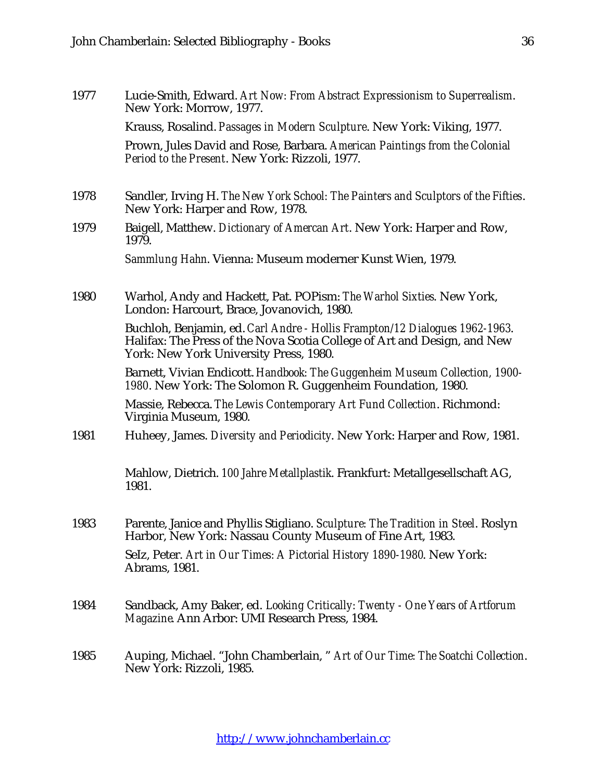1977 Lucie-Smith, Edward. *Art Now: From Abstract Expressionism to Superrealism*. New York: Morrow, 1977. Krauss, Rosalind. *Passages in Modern Sculpture*. New York: Viking, 1977. Prown, Jules David and Rose, Barbara. *American Paintings from the Colonial Period to the Present*. New York: Rizzoli, 1977. 1978 Sandler, Irving H. *The New York School: The Painters and Sculptors of the Fifties*. New York: Harper and Row, 1978. 1979 Baigell, Matthew. *Dictionary of Amercan Art*. New York: Harper and Row, 1979. *Sammlung Hahn*. Vienna: Museum moderner Kunst Wien, 1979. 1980 Warhol, Andy and Hackett, Pat. POPism: *The Warhol Sixties*. New York, London: Harcourt, Brace, Jovanovich, 1980. Buchloh, Benjamin, ed. *Carl Andre - Hollis Frampton/12 Dialogues 1962-1963*. Halifax: The Press of the Nova Scotia College of Art and Design, and New York: New York University Press, 1980. Barnett, Vivian Endicott. *Handbook: The Guggenheim Museum Collection, 1900- 1980*. New York: The Solomon R. Guggenheim Foundation, 1980. Massie, Rebecca. *The Lewis Contemporary Art Fund Collection*. Richmond: Virginia Museum, 1980. 1981 Huheey, James. *Diversity and Periodicity*. New York: Harper and Row, 1981. Mahlow, Dietrich. *100 Jahre Metallplastik*. Frankfurt: Metallgesellschaft AG, 1981. 1983 Parente, Janice and Phyllis Stigliano. *Sculpture: The Tradition in Steel*. Roslyn Harbor, New York: Nassau County Museum of Fine Art, 1983. SeIz, Peter. *Art in Our Times: A Pictorial History 1890-1980*. New York: Abrams, 1981. 1984 Sandback, Amy Baker, ed. *Looking Critically: Twenty - One Years of Artforum Magazine*. Ann Arbor: UMI Research Press, 1984. 1985 Auping, Michael. "John Chamberlain, " *Art of Our Time: The Soatchi Collection*. New York: Rizzoli, 1985.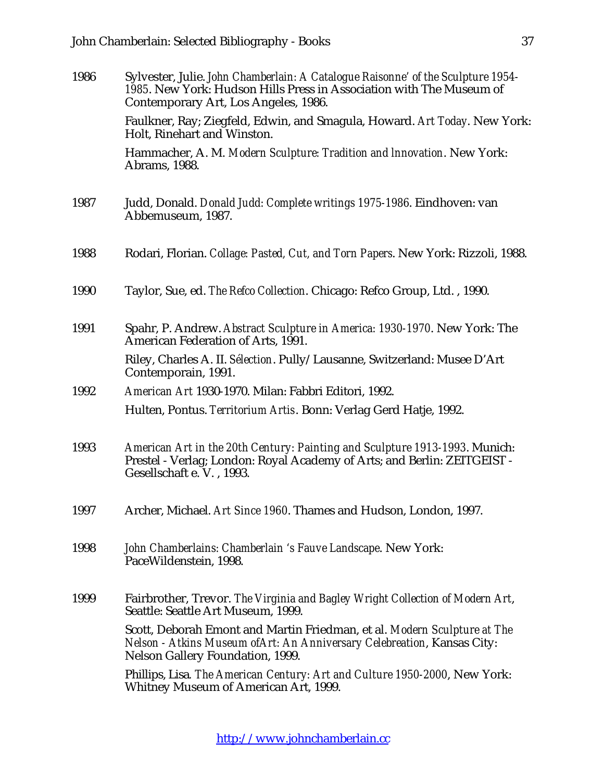1986 Sylvester, Julie. *John Chamberlain: A Catalogue Raisonne' of the Sculpture 1954- 1985*. New York: Hudson Hills Press in Association with The Museum of Contemporary Art, Los Angeles, 1986. Faulkner, Ray; Ziegfeld, Edwin, and Smagula, Howard. *Art Today*. New York: Holt, Rinehart and Winston. Hammacher, A. M. *Modern Sculpture: Tradition and lnnovation*. New York: Abrams, 1988. 1987 Judd, Donald. *Donald Judd: Complete writings 1975-1986*. Eindhoven: van Abbemuseum, 1987. 1988 Rodari, Florian. *Collage: Pasted, Cut, and Torn Papers*. New York: Rizzoli, 1988. 1990 Taylor, Sue, ed. *The Refco Collection*. Chicago: Refco Group, Ltd. , 1990. 1991 Spahr, P. Andrew. *Abstract Sculpture in America: 1930-1970*. New York: The American Federation of Arts, 1991. Riley, Charles A. II. *Sélection*. Pully/Lausanne, Switzerland: Musee D'Art Contemporain, 1991. 1992 *American Art* 1930-1970. Milan: Fabbri Editori, 1992. Hulten, Pontus. *Territorium Artis*. Bonn: Verlag Gerd Hatje, 1992. 1993 *American Art in the 20th Century: Painting and Sculpture 1913-1993*. Munich: Prestel - Verlag; London: Royal Academy of Arts; and Berlin: ZEITGEIST - Gesellschaft e. V. , 1993. 1997 Archer, Michael. *Art Since 1960*. Thames and Hudson, London, 1997. 1998 *John Chamberlains: Chamberlain 's Fauve Landscape*. New York: PaceWildenstein, 1998. 1999 Fairbrother, Trevor. *The Virginia and Bagley Wright Collection of Modern Art*, Seattle: Seattle Art Museum, 1999. Scott, Deborah Emont and Martin Friedman, et al. *Modern Sculpture at The Nelson - Atkins Museum ofArt: An Anniversary Celebreation*, Kansas City: Nelson Gallery Foundation, 1999. Phillips, Lisa*. The American Century: Art and Culture 1950-2000*, New York: Whitney Museum of American Art, 1999.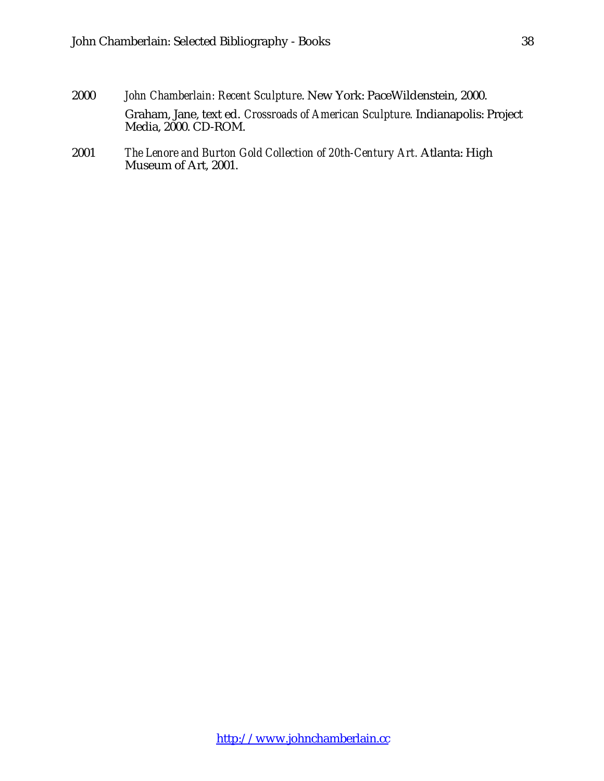- 2000 *John Chamberlain: Recent Sculpture*. New York: PaceWildenstein, 2000. Graham, Jane, text ed. *Crossroads of American Sculpture.* Indianapolis: Project Media, 2000. CD-ROM.
- 2001 *The Lenore and Burton Gold Collection of 20th-Century Art.* Atlanta: High Museum of Art, 2001.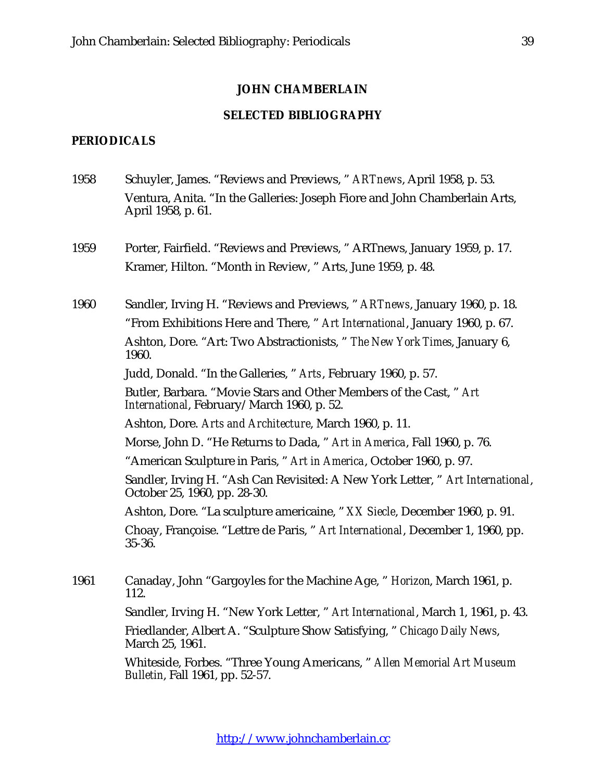### **JOHN CHAMBERLAIN**

### **SELECTED BIBLIOGRAPHY**

## **PERIODICALS**

- 1958 Schuyler, James. "Reviews and Previews, " *ARTnews*, April 1958, p. 53. Ventura, Anita. "In the Galleries: Joseph Fiore and John Chamberlain Arts, April 1958, p. 61.
- 1959 Porter, Fairfield. "Reviews and Previews, " ARTnews, January 1959, p. 17. Kramer, Hilton. "Month in Review, " Arts, June 1959, p. 48.

1960 Sandler, Irving H. "Reviews and Previews, " *ARTnews*, January 1960, p. 18. "From Exhibitions Here and There, " *Art International*, January 1960, p. 67. Ashton, Dore. "Art: Two Abstractionists, " *The New York Times*, January 6, 1960.

Judd, Donald. "In the Galleries, " *Arts*, February 1960, p. 57.

Butler, Barbara. "Movie Stars and Other Members of the Cast, " *Art International*, February/March 1960, p. 52.

Ashton, Dore. *Arts and Architecture*, March 1960, p. 11.

Morse, John D. "He Returns to Dada, " *Art in America*, Fall 1960, p. 76.

"American Sculpture in Paris, " *Art in America*, October 1960, p. 97.

Sandler, Irving H. "Ash Can Revisited: A New York Letter, " *Art International*, October 25, 1960, pp. 28-30.

Ashton, Dore. "La sculpture americaine, " *XX Siecle*, December 1960, p. 91.

Choay, Françoise. "Lettre de Paris, " *Art International*, December 1, 1960, pp. 35-36.

1961 Canaday, John "Gargoyles for the Machine Age, " *Horizon*, March 1961, p. 112.

Sandler, Irving H. "New York Letter, " *Art International*, March 1, 1961, p. 43.

Friedlander, Albert A. "Sculpture Show Satisfying, " *Chicago Daily News*, March 25, 1961.

Whiteside, Forbes. "Three Young Americans, " *Allen Memorial Art Museum Bulletin*, Fall 1961, pp. 52-57.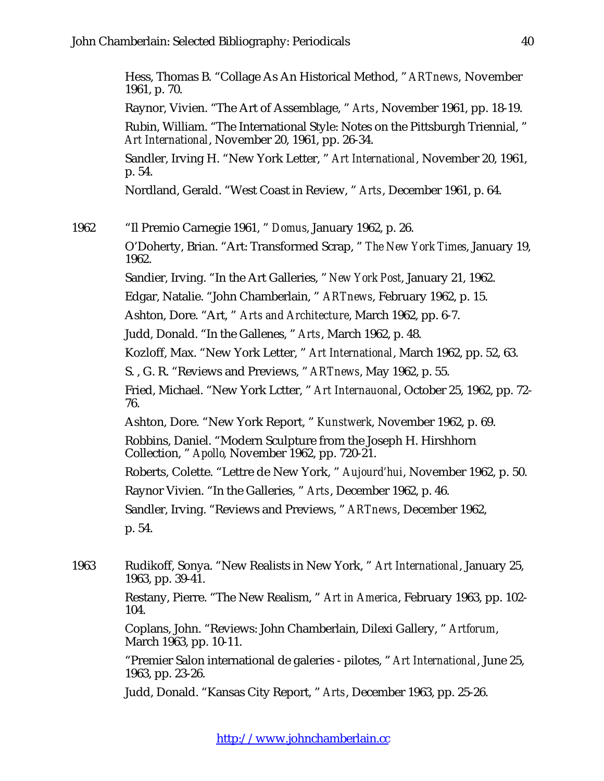Hess, Thomas B. "Collage As An Historical Method, " *ARTnews*, November 1961, p. 70.

Raynor, Vivien. "The Art of Assemblage, " *Arts*, November 1961, pp. 18-19.

Rubin, William. "The International Style: Notes on the Pittsburgh Triennial, " *Art International*, November 20, 1961, pp. 26-34.

Sandler, Irving H. "New York Letter, " *Art International*, November 20, 1961, p. 54.

Nordland, Gerald. "West Coast in Review, " *Arts*, December 1961, p. 64.

1962 "Il Premio Carnegie 1961, " *Domus*, January 1962, p. 26. O'Doherty, Brian. "Art: Transformed Scrap, " *The New York Times*, January 19, 1962. Sandier, Irving. "In the Art Galleries, " *New York Post*, January 21, 1962. Edgar, Natalie. "John Chamberlain, " *ARTnews*, February 1962, p. 15. Ashton, Dore. "Art, " *Arts and Architecture*, March 1962, pp. 6-7. Judd, Donald. "In the Gallenes, " *Arts*, March 1962, p. 48. Kozloff, Max. "New York Letter, " *Art International*, March 1962, pp. 52, 63. S. , G. R. "Reviews and Previews, " *ARTnews*, May 1962, p. 55. Fried, Michael. "New York Lctter, " *Art Internauonal*, October 25, 1962, pp. 72- 76. Ashton, Dore. "New York Report, " *Kunstwerk*, November 1962, p. 69. Robbins, Daniel. "Modern Sculpture from the Joseph H. Hirshhorn Collection, " *Apollo*, November 1962, pp. 720-21. Roberts, Colette. "Lettre de New York, " *Aujourd'hui*, November 1962, p. 50. Raynor Vivien. "In the Galleries, " *Arts*, December 1962, p. 46. Sandler, Irving. "Reviews and Previews, " *ARTnews*, December 1962, p. 54.

1963 Rudikoff, Sonya. "New Realists in New York, " *Art International*, January 25, 1963, pp. 39-41.

> Restany, Pierre. "The New Realism, " *Art in America*, February 1963, pp. 102- 104.

Coplans, John. "Reviews: John Chamberlain, Dilexi Gallery, " *Artforum*, March 1963, pp. 10-11.

"Premier Salon international de galeries - pilotes, " *Art International*, June 25, 1963, pp. 23-26.

Judd, Donald. "Kansas City Report, " *Arts*, December 1963, pp. 25-26.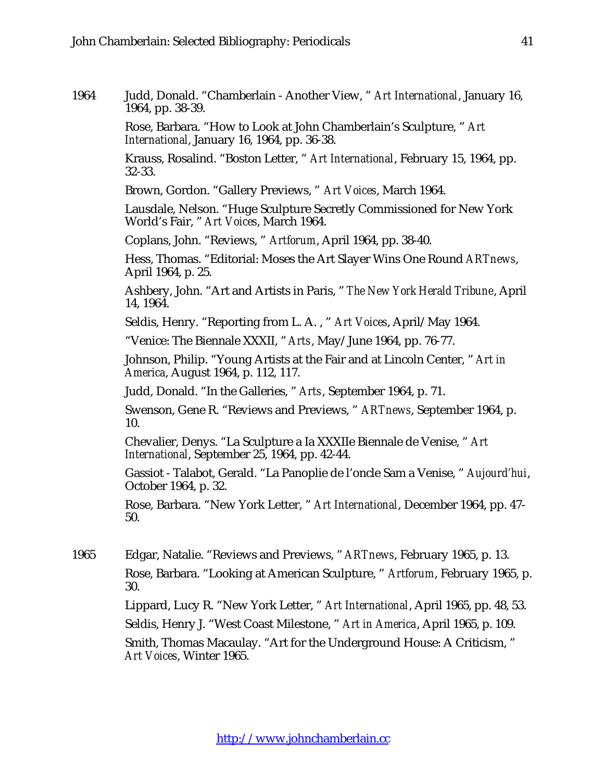1964 Judd, Donald. "Chamberlain - Another View, " *Art International*, January 16, 1964, pp. 38-39.

> Rose, Barbara. "How to Look at John Chamberlain's Sculpture, " *Art International*, January 16, 1964, pp. 36-38.

Krauss, Rosalind. "Boston Letter, " *Art International*, February 15, 1964, pp. 32-33.

Brown, Gordon. "Gallery Previews, " *Art Voices*, March 1964.

Lausdale, Nelson. "Huge Sculpture Secretly Commissioned for New York World's Fair, " *Art Voices*, March 1964.

Coplans, John. "Reviews, " *Artforum*, April 1964, pp. 38-40.

Hess, Thomas. "Editorial: Moses the Art Slayer Wins One Round *ARTnews*, April 1964, p. 25.

Ashbery, John. "Art and Artists in Paris, " *The New York Herald Tribune*, April 14, 1964.

Seldis, Henry. "Reporting from L. A. , " *Art Voices*, April/May 1964.

"Venice: The Biennale XXXII, " *Arts*, May/June 1964, pp. 76-77.

Johnson, Philip. "Young Artists at the Fair and at Lincoln Center, " *Art in America*, August 1964, p. 112, 117.

Judd, Donald. "In the Galleries, " *Arts*, September 1964, p. 71.

Swenson, Gene R. "Reviews and Previews, " *ARTnews*, September 1964, p. 10.

Chevalier, Denys. "La Sculpture a Ia XXXIIe Biennale de Venise, " *Art International*, September 25, 1964, pp. 42-44.

Gassiot - Talabot, Gerald. "La Panoplie de l'oncle Sam a Venise, " *Aujourd'hui*, October 1964, p. 32.

Rose, Barbara. "New York Letter, " *Art International*, December 1964, pp. 47- 50.

1965 Edgar, Natalie. "Reviews and Previews, " *ARTnews*, February 1965, p. 13. Rose, Barbara. "Looking at American Sculpture, " *Artforum*, February 1965, p. 30.

Lippard, Lucy R. "New York Letter, " *Art International*, April 1965, pp. 48, 53.

Seldis, Henry J. "West Coast Milestone, " *Art in America*, April 1965, p. 109.

Smith, Thomas Macaulay. "Art for the Underground House: A Criticism, " *Art Voices*, Winter 1965.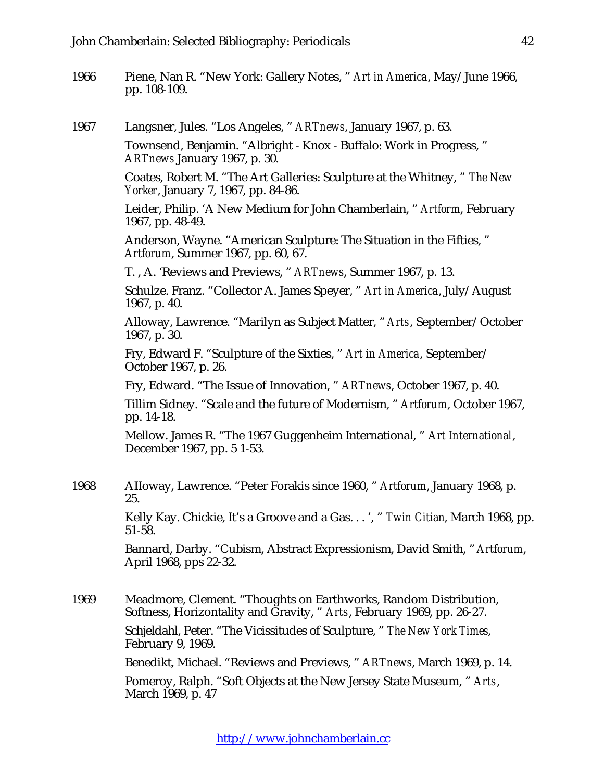- 1966 Piene, Nan R. "New York: Gallery Notes, " *Art in America*, May/June 1966, pp. 108-109.
- 1967 Langsner, Jules. "Los Angeles, " *ARTnews*, January 1967, p. 63.

Townsend, Benjamin. "Albright - Knox - Buffalo: Work in Progress, " *ARTnews* January 1967, p. 30.

Coates, Robert M. "The Art Galleries: Sculpture at the Whitney, " *The New Yorker*, January 7, 1967, pp. 84-86.

Leider, Philip. 'A New Medium for John Chamberlain, " *Artform*, February 1967, pp. 48-49.

Anderson, Wayne. "American Sculpture: The Situation in the Fifties, " *Artforum*, Summer 1967, pp. 60, 67.

T. , A. 'Reviews and Previews, " *ARTnews*, Summer 1967, p. 13.

Schulze. Franz. "Collector A. James Speyer, " *Art in America*, July/August 1967, p. 40.

Alloway, Lawrence. "Marilyn as Subject Matter, " *Arts*, September/October 1967, p. 30.

Fry, Edward F. "Sculpture of the Sixties, " *Art in America*, September/ October 1967, p. 26.

Fry, Edward. "The Issue of Innovation, " *ARTnews*, October 1967, p. 40.

Tillim Sidney. "Scale and the future of Modernism, " *Artforum*, October 1967, pp. 14-18.

Mellow. James R. "The 1967 Guggenheim International, " *Art International*, December 1967, pp. 5 1-53.

1968 AIIoway, Lawrence. "Peter Forakis since 1960, " *Artforum*, January 1968, p. 25.

> Kelly Kay. Chickie, It's a Groove and a Gas. . . ', " *Twin Citian*, March 1968, pp. 51-58.

Bannard, Darby. "Cubism, Abstract Expressionism, David Smith, " *Artforum*, April 1968, pps 22-32.

1969 Meadmore, Clement. "Thoughts on Earthworks, Random Distribution, Softness, Horizontality and Gravity, " *Arts*, February 1969, pp. 26-27. Schjeldahl, Peter. "The Vicissitudes of Sculpture, " *The New York Times*, February 9, 1969. Benedikt, Michael. "Reviews and Previews, " *ARTnews*, March 1969, p. 14. Pomeroy, Ralph. "Soft Objects at the New Jersey State Museum, " *Arts*,

March 1969, p. 47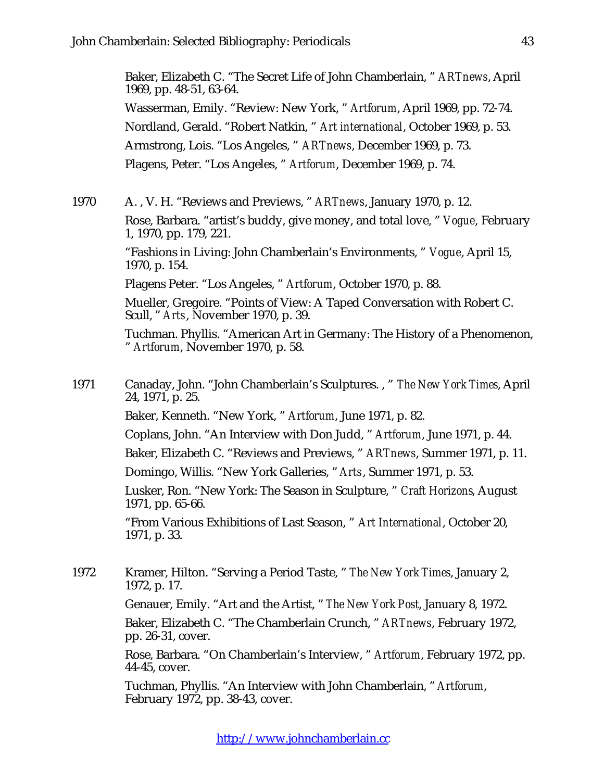Baker, Elizabeth C. "The Secret Life of John Chamberlain, " *ARTnews*, April 1969, pp. 48-51, 63-64. Wasserman, Emily. "Review: New York, " *Artforum*, April 1969, pp. 72-74. Nordland, Gerald. "Robert Natkin, " *Art international*, October 1969, p. 53. Armstrong, Lois. "Los Angeles, " *ARTnews*, December 1969, p. 73. Plagens, Peter. "Los Angeles, " *Artforum*, December 1969, p. 74.

1970 A. , V. H. "Reviews and Previews, " *ARTnews*, January 1970, p. 12. Rose, Barbara. "artist's buddy, give money, and total love, " *Vogue*, February 1, 1970, pp. 179, 221. "Fashions in Living: John Chamberlain's Environments, " *Vogue*, April 15, 1970, p. 154. Plagens Peter. "Los Angeles, " *Artforum*, October 1970, p. 88. Mueller, Gregoire. "Points of View: A Taped Conversation with Robert C. Scull, " *Arts*, November 1970, p. 39. Tuchman. Phyllis. "American Art in Germany: The History of a Phenomenon,

" *Artforum*, November 1970, p. 58.

1971 Canaday, John. "John Chamberlain's Sculptures. , " *The New York Times*, April 24, 1971, p. 25. Baker, Kenneth. "New York, " *Artforum*, June 1971, p. 82. Coplans, John. "An Interview with Don Judd, " *Artforum*, June 1971, p. 44. Baker, Elizabeth C. "Reviews and Previews, " *ARTnews*, Summer 1971, p. 11. Domingo, Willis. "New York Galleries, " *Arts*, Summer 1971, p. 53. Lusker, Ron. "New York: The Season in Sculpture, " *Craft Horizons*, August 1971, pp. 65-66. "From Various Exhibitions of Last Season, " *Art International*, October 20, 1971, p. 33. 1972 Kramer, Hilton. "Serving a Period Taste, " *The New York Times*, January 2, 1972, p. 17. Genauer, Emily. "Art and the Artist, " *The New York Post*, January 8, 1972. Baker, Elizabeth C. "The Chamberlain Crunch, " *ARTnews*, February 1972,

> pp. 26-31, cover. Rose, Barbara. "On Chamberlain's Interview, " *Artforum*, February 1972, pp. 44-45, cover.

Tuchman, Phyllis. "An Interview with John Chamberlain, " *Artforum*, February 1972, pp. 38-43, cover.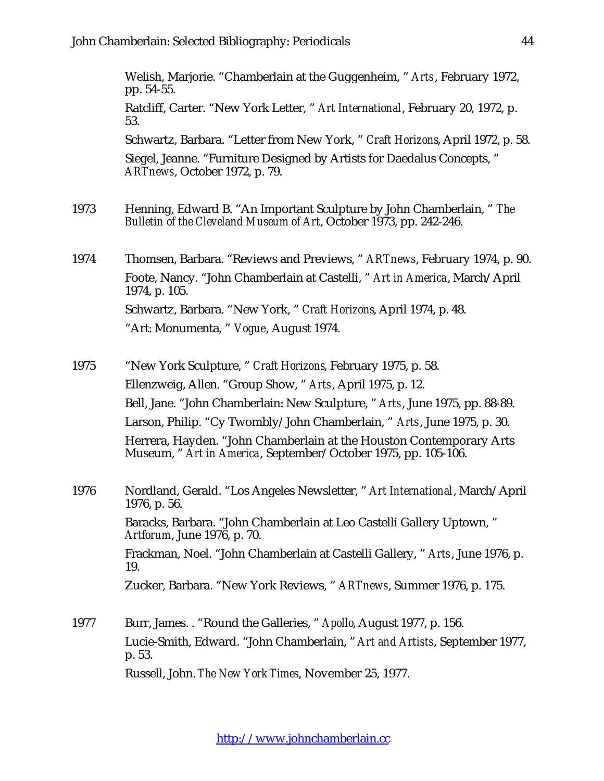Welish, Marjorie. "Chamberlain at the Guggenheim, " *Arts*, February 1972, pp. 54-55.

Ratcliff, Carter. "New York Letter, " *Art International*, February 20, 1972, p. 53.

Schwartz, Barbara. "Letter from New York, " *Craft Horizons*, April 1972, p. 58.

Siegel, Jeanne. "Furniture Designed by Artists for Daedalus Concepts, " *ARTnews*, October 1972, p. 79.

1973 Henning, Edward B. "An Important Sculpture by John Chamberlain, " *The Bulletin of the Cleveland Museum of Art*, October 1973, pp. 242-246.

1974 Thomsen, Barbara. "Reviews and Previews, " *ARTnews*, February 1974, p. 90. Foote, Nancy. "John Chamberlain at Castelli, " *Art in America*, March/April 1974, p. 105. Schwartz, Barbara. "New York, " *Craft Horizons*, April 1974, p. 48. "Art: Monumenta, " *Vogue*, August 1974.

1975 "New York Sculpture, " *Craft Horizons*, February 1975, p. 58. Ellenzweig, Allen. "Group Show, " *Arts*, April 1975, p. 12. Bell, Jane. "John Chamberlain: New Sculpture, " *Arts*, June 1975, pp. 88-89. Larson, Philip. "Cy Twombly/John Chamberlain, " *Arts*, June 1975, p. 30. Herrera, Hayden. "John Chamberlain at the Houston Contemporary Arts Museum, " *Art in America*, September/October 1975, pp. 105-106.

1976 Nordland, Gerald. "Los Angeles Newsletter, " *Art International*, March/April 1976, p. 56. Baracks, Barbara. "John Chamberlain at Leo Castelli Gallery Uptown, " *Artforum*, June 1976, p. 70. Frackman, Noel. "John Chamberlain at Castelli Gallery, " *Arts*, June 1976, p. 19. Zucker, Barbara. "New York Reviews, " *ARTnews*, Summer 1976, p. 175.

1977 Burr, James. . "Round the Galleries, " *Apollo*, August 1977, p. 156. Lucie-Smith, Edward. "John Chamberlain, " *Art and Artists*, September 1977, p. 53. Russell, John. *The New York Times*, November 25, 1977.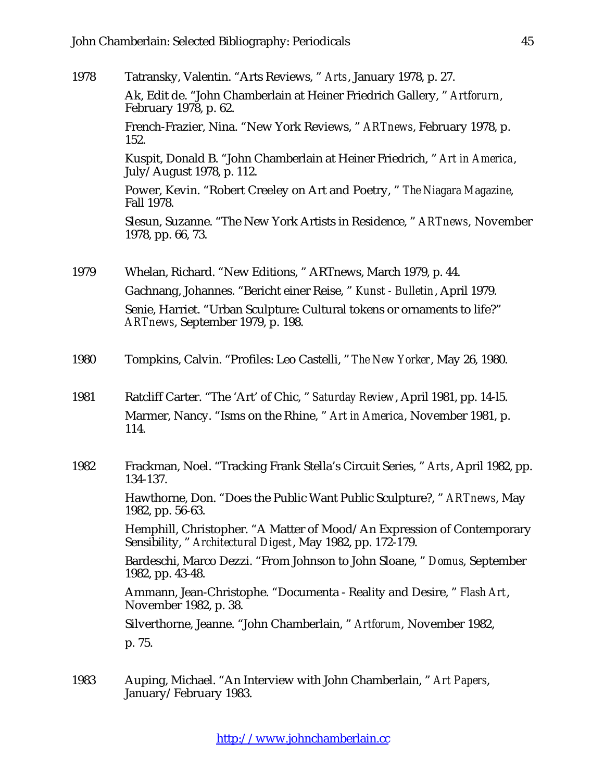- 1978 Tatransky, Valentin. "Arts Reviews, " *Arts*, January 1978, p. 27. Ak, Edit de. "John Chamberlain at Heiner Friedrich Gallery, " *Artforurn*, February 1978, p. 62. French-Frazier, Nina. "New York Reviews, " *ARTnews*, February 1978, p. 152. Kuspit, Donald B. "John Chamberlain at Heiner Friedrich, " *Art in America*, July/August 1978, p. 112. Power, Kevin. "Robert Creeley on Art and Poetry, " *The Niagara Magazine*, Fall 1978. Slesun, Suzanne. "The New York Artists in Residence, " *ARTnews*, November 1978, pp. 66, 73. 1979 Whelan, Richard. "New Editions, " ARTnews, March 1979, p. 44. Gachnang, Johannes. "Bericht einer Reise, " *Kunst - Bulletin*, April 1979. Senie, Harriet. "Urban Sculpture: Cultural tokens or ornaments to life?" *ARTnews*, September 1979, p. 198. 1980 Tompkins, Calvin. "Profiles: Leo Castelli, " *The New Yorker*, May 26, 1980. 1981 Ratcliff Carter. "The 'Art' of Chic, " *Saturday Review*, April 1981, pp. 14-l5. Marmer, Nancy. "Isms on the Rhine, " *Art in America*, November 1981, p. 114. 1982 Frackman, Noel. "Tracking Frank Stella's Circuit Series, " *Arts*, April 1982, pp. 134-137. Hawthorne, Don. "Does the Public Want Public Sculpture?, " *ARTnews*, May 1982, pp. 56-63. Hemphill, Christopher. "A Matter of Mood/An Expression of Contemporary Sensibility, " *Architectural Digest*, May 1982, pp. 172-179. Bardeschi, Marco Dezzi. "From Johnson to John Sloane, " *Domus*, September 1982, pp. 43-48. Ammann, Jean-Christophe. "Documenta - Reality and Desire, " *Flash Art*, November 1982, p. 38. Silverthorne, Jeanne. "John Chamberlain, " *Artforum*, November 1982, p. 75.
- 1983 Auping, Michael. "An Interview with John Chamberlain, " *Art Papers*, January/February 1983.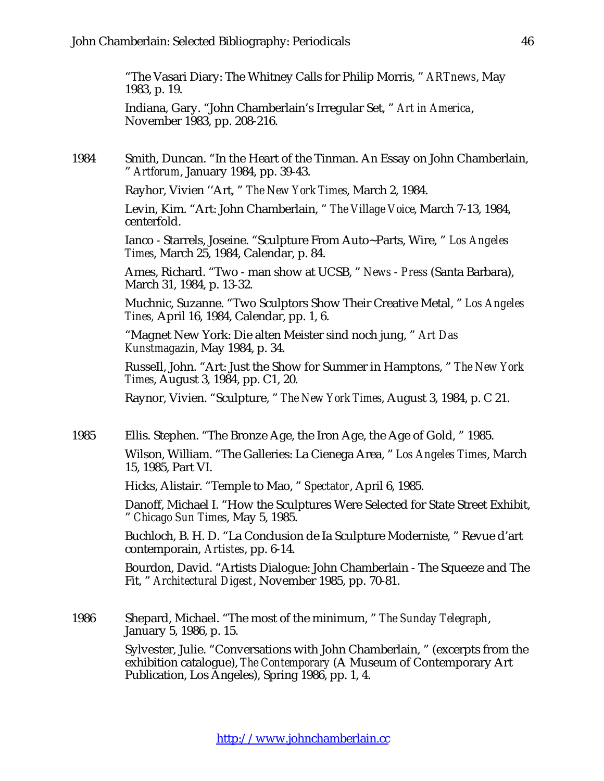"The Vasari Diary: The Whitney Calls for Philip Morris, " *ARTnews*, May 1983, p. 19.

Indiana, Gary. "John Chamberlain's Irregular Set, " *Art in America*, November 1983, pp. 208-216.

1984 Smith, Duncan. "In the Heart of the Tinman. An Essay on John Chamberlain, " *Artforum*, January 1984, pp. 39-43.

Rayhor, Vivien ''Art, " *The New York Times*, March 2, 1984.

Levin, Kim. "Art: John Chamberlain, " *The Village Voice*, March 7-13, 1984, centerfold.

Ianco - Starrels, Joseine. "Sculpture From Auto~Parts, Wire, " *Los Angeles Times*, March 25, 1984, Calendar, p. 84.

Ames, Richard. "Two - man show at UCSB, " *News - Press* (Santa Barbara), March 31, 1984, p. 13-32.

Muchnic, Suzanne. "Two Sculptors Show Their Creative Metal, " *Los Angeles Tines,* April 16, 1984, Calendar, pp. 1, 6.

"Magnet New York: Die alten Meister sind noch jung, " *Art Das Kunstmagazin*, May 1984, p. 34.

RusseIl, John. "Art: Just the Show for Summer in Hamptons, " *The New York Times*, August 3, 1984, pp. C1, 20.

Raynor, Vivien. "Sculpture, " *The New York Times*, August 3, 1984, p. C 21.

1985 Ellis. Stephen. "The Bronze Age, the Iron Age, the Age of Gold, " 1985. Wilson, William. "The Galleries: La Cienega Area, " *Los Angeles Times*, March 15, 1985, Part VI.

Hicks, Alistair. "Temple to Mao, " *Spectator*, April 6, 1985.

Danoff, Michael I. "How the Sculptures Were Selected for State Street Exhibit, " *Chicago Sun Times*, May 5, 1985.

Buchloch, B. H. D. "La Conclusion de Ia Sculpture Moderniste, " Revue d'art contemporain, *Artistes*, pp. 6-14.

Bourdon, David. "Artists Dialogue: John Chamberlain - The Squeeze and The Fit, " *Architectural Digest*, November 1985, pp. 70-81.

1986 Shepard, Michael. "The most of the minimum, " *The Sunday Telegraph*, January 5, 1986, p. 15.

> Sylvester, Julie. "Conversations with John Chamberlain, " (excerpts from the exhibition catalogue), *The Contemporary* (A Museum of Contemporary Art Publication, Los Angeles), Spring 1986, pp. 1, 4.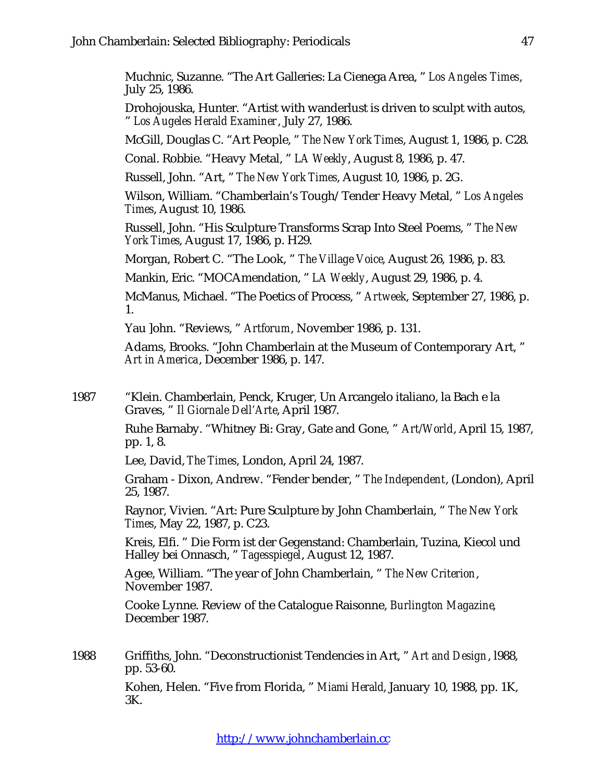Muchnic, Suzanne. "The Art Galleries: La Cienega Area, " *Los Angeles Times*, July 25, 1986.

Drohojouska, Hunter. "Artist with wanderlust is driven to sculpt with autos, " *Los Augeles Herald Examiner*, July 27, 1986.

McGill, Douglas C. "Art People, " *The New York Times*, August 1, 1986, p. C28.

Conal. Robbie. "Heavy Metal, " *LA Weekly*, August 8, 1986, p. 47.

Russell, John. "Art, " *The New York Times*, August 10, 1986, p. 2G.

Wilson, William. "Chamberlain's Tough/Tender Heavy Metal, " *Los Angeles Times*, August 10, 1986.

Russell, John. "His Sculpture Transforms Scrap Into Steel Poems, " *The New York Times*, August 17, 1986, p. H29.

Morgan, Robert C. "The Look, " *The Village Voice*, August 26, 1986, p. 83.

Mankin, Eric. "MOCAmendation, " *LA Weekly*, August 29, 1986, p. 4.

McManus, Michael. "The Poetics of Process, " *Artweek*, September 27, 1986, p. 1.

Yau ]ohn. "Reviews, " *Artforum*, November 1986, p. 131.

Adams, Brooks. "John Chamberlain at the Museum of Contemporary Art, " *Art in America*, December 1986, p. 147.

1987 "Klein. Chamberlain, Penck, Kruger, Un Arcangelo italiano, la Bach e la Graves, " *Il Giornale Dell'Arte*, April 1987.

> Ruhe Barnaby. "Whitney Bi: Gray, Gate and Gone, " *Art/World*, April 15, 1987, pp. 1, 8.

Lee, David, *The Times*, London, April 24, 1987.

Graham - Dixon, Andrew. "Fender bender, " *The Independent*, (London), April 25, 1987.

Raynor, Vivien. "Art: Pure Sculpture by John Chamberlain, " *The New York Times*, May 22, 1987, p. C23.

Kreis, Elfi. " Die Form ist der Gegenstand: Chamberlain, Tuzina, Kiecol und Halley bei Onnasch, " *Tagesspiegel*, August 12, 1987.

Agee, William. "The year of John Chamberlain, " *The New Criterion*, November 1987.

Cooke Lynne. Review of the Catalogue Raisonne, *Burlington Magazine*, December 1987.

1988 Griffiths, John. "Deconstructionist Tendencies in Art, " *Art and Design*, l988, pp. 53-60.

> Kohen, Helen. "Five from Florida, " *Miami Herald*, January 10, 1988, pp. 1K, 3K.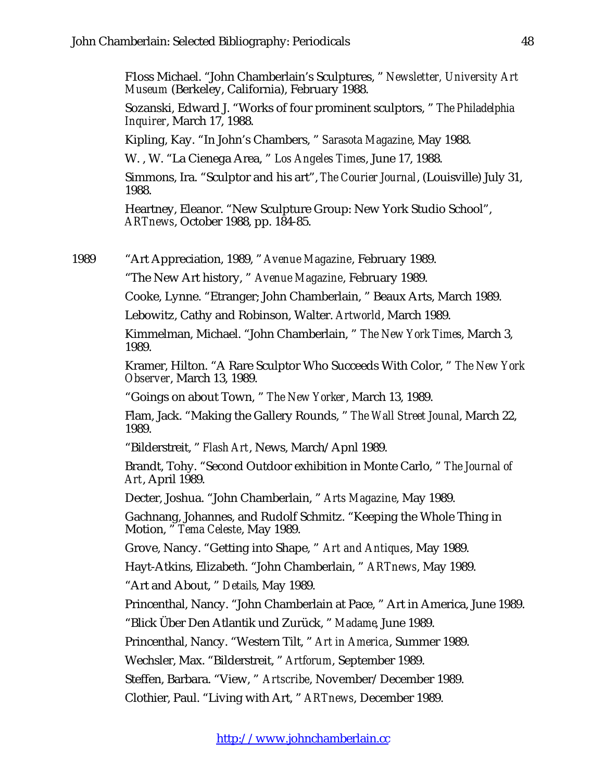F1oss Michael. "John Chamberlain's Sculptures, " *Newsletter, University Art Museum* (Berkeley, California), February 1988.

Sozanski, Edward J. "Works of four prominent sculptors, " *The Philadelphia Inquirer*, March 17, 1988.

Kipling, Kay. "In John's Chambers, " *Sarasota Magazine*, May 1988.

W. , W. "La Cienega Area, " *Los Angeles Times*, June 17, 1988.

Simmons, Ira. "Sculptor and his art", *The Courier Journal*, (Louisville) July 31, 1988.

Heartney, Eleanor. "New Sculpture Group: New York Studio School", *ARTnews*, October 1988, pp. 184-85.

1989 "Art Appreciation, 1989, " *Avenue Magazine*, February 1989.

"The New Art history, " *Avenue Magazine*, February 1989.

Cooke, Lynne. "Etranger; John Chamberlain, " Beaux Arts, March 1989.

Lebowitz, Cathy and Robinson, Walter. *Artworld*, March 1989.

Kimmelman, Michael. "John Chamberlain, " *The New York Times*, March 3, 1989.

Kramer, Hilton. "A Rare Sculptor Who Succeeds With Color, " *The New York Observer*, March 13, 1989.

"Goings on about Town, " *The New Yorker*, March 13, 1989.

Flam, Jack. "Making the Gallery Rounds, " *The Wall Street Jounal*, March 22, 1989.

"Bilderstreit, " *Flash Art*, News, March/Apnl 1989.

Brandt, Tohy. "Second Outdoor exhibition in Monte Carlo, " *The Journal of Art*, April 1989.

Decter, Joshua. "John Chamberlain, " *Arts Magazine*, May 1989.

Gachnang, Johannes, and Rudolf Schmitz. "Keeping the Whole Thing in Motion, " *Tema Celeste*, May 1989.

Grove, Nancy. "Getting into Shape, " *Art and Antiques*, May 1989.

Hayt-Atkins, Elizabeth. "John Chamberlain, " *ARTnews*, May 1989.

"Art and About, " *Details*, May 1989.

Princenthal, Nancy. "John Chamberlain at Pace, " Art in America, June 1989.

"Blick Über Den Atlantik und Zurück, " *Madame*, June 1989.

Princenthal, Nancy. "Western Tilt, " *Art in America*, Summer 1989.

Wechsler, Max. "Bilderstreit, " *Artforum*, September 1989.

Steffen, Barbara. "View, " *Artscribe*, November/December 1989.

Clothier, Paul. "Living with Art, " *ARTnews*, December 1989.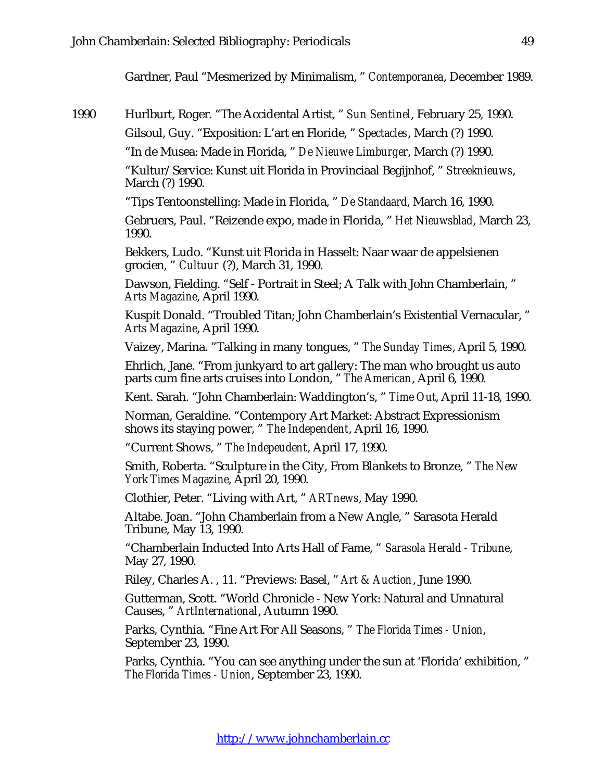Gardner, Paul "Mesmerized by Minimalism, " *Contemporanea*, December 1989.

1990 Hurlburt, Roger. "The Accidental Artist, " *Sun Sentinel*, February 25, 1990.

Gilsoul, Guy. "Exposition: L'art en Floride, " *Spectacles*, March (?) 1990.

"In de Musea: Made in Florida, " *De Nieuwe Limburger*, March (?) 1990.

"Kultur/Service: Kunst uit Florida in Provinciaal Begijnhof, " *Streeknieuws*, March (?) 1990.

"Tips Tentoonstelling: Made in Florida, " *De Standaard*, March 16, 1990.

Gebruers, Paul. "Reizende expo, made in Florida, " *Het Nieuwsblad*, March 23, 1990.

Bekkers, Ludo. "Kunst uit Florida in Hasselt: Naar waar de appelsienen grocien, " *Cultuur* (?), March 31, 1990.

Dawson, Fielding. "Self - Portrait in Steel; A Talk with John Chamberlain, " *Arts Magazine*, April 1990.

Kuspit Donald. "Troubled Titan; John Chamberlain's Existential Vernacular, " *Arts Magazine*, April 1990.

Vaizey, Marina. "Talking in many tongues, " *The Sunday Times*, April 5, 1990.

Ehrlich, Jane. "From junkyard to art gallery: The man who brought us auto parts cum fine arts cruises into London, " *The American*, April 6, 1990.

Kent. Sarah. "John Chamberlain: Waddington's, " *Time Out*, April 11-18, 1990.

Norman, Geraldine. "Contempory Art Market: Abstract Expressionism shows its staying power, " *The Independent*, April 16, 1990.

"Current Shows, " *The Indepeudent*, April 17, 1990.

Smith, Roberta. "Sculpture in the City, From Blankets to Bronze, " *The New York Times Magazine*, April 20, 1990.

Clothier, Peter. "Living with Art, " *ARTnews*, May 1990.

Altabe. Joan. "John Chamberlain from a New Angle, " Sarasota Herald Tribune, May 13, 1990.

"Chamberlain Inducted Into Arts Hall of Fame, " *Sarasola Herald - Tribune*, May 27, 1990.

Riley, Charles A. , 11. "Previews: Basel, " *Art & Auction*, June 1990.

Gutterman, Scott. "World Chronicle - New York: Natural and Unnatural Causes, " *ArtInternational*, Autumn 1990.

Parks, Cynthia. "Fine Art For All Seasons, " *The Florida Times - Union*, September 23, 1990.

Parks, Cynthia. "You can see anything under the sun at 'Florida' exhibition, " *The Florida Times - Union*, September 23, 1990.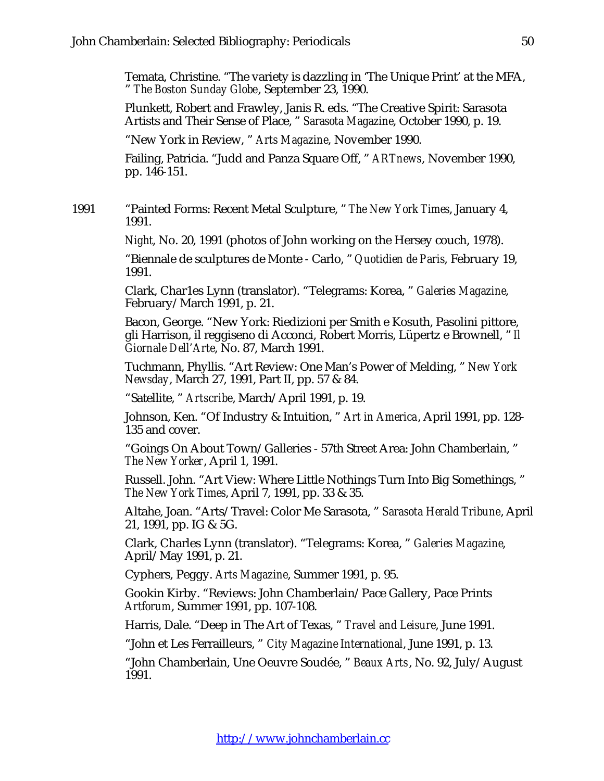Temata, Christine. "The variety is dazzling in 'The Unique Print' at the MFA, " *The Boston Sunday Globe*, September 23, 1990.

Plunkett, Robert and Frawley, Janis R. eds. "The Creative Spirit: Sarasota Artists and Their Sense of Place, " *Sarasota Magazine*, October 1990, p. 19.

"New York in Review, " *Arts Magazine*, November 1990.

Failing, Patricia. "Judd and Panza Square Off, " *ARTnews*, November 1990, pp. 146-151.

1991 "Painted Forms: Recent Metal Sculpture, " *The New York Times*, January 4, 1991.

*Night*, No. 20, 1991 (photos of John working on the Hersey couch, 1978).

"Biennale de sculptures de Monte - Carlo, " *Quotidien de Paris*, February 19, 1991.

Clark, Char1es Lynn (translator). "Telegrams: Korea, " *Galeries Magazine*, February/March 1991, p. 21.

Bacon, George. "New York: Riedizioni per Smith e Kosuth, Pasolini pittore, gli Harrison, il reggiseno di Acconci, Robert Morris, Lüpertz e Brownell, " *Il Giornale Dell'Arte*, No. 87, March 1991.

Tuchmann, Phyllis. "Art Review: One Man's Power of Melding, " *New York Newsday*, March 27, 1991, Part II, pp. 57 & 84.

"Satellite, " *Artscribe*, March/April 1991, p. 19.

Johnson, Ken. "Of Industry & Intuition, " *Art in America*, April 1991, pp. 128- 135 and cover.

"Goings On About Town/Galleries - 57th Street Area: John Chamberlain, " *The New Yorker*, April 1, 1991.

Russell. John. "Art View: Where Little Nothings Turn Into Big Somethings, " *The New York Times*, April 7, 1991, pp. 33 & 35.

Altahe, Joan. "Arts/Travel: Color Me Sarasota, " *Sarasota Herald Tribune*, April 21, 1991, pp. IG & 5G.

Clark, Charles Lynn (translator). "Telegrams: Korea, " *Galeries Magazine*, April/May 1991, p. 21.

Cyphers, Peggy. *Arts Magazine*, Summer 1991, p. 95.

Gookin Kirby. "Reviews: John Chamberlain/Pace Gallery, Pace Prints *Artforum*, Summer 1991, pp. 107-108.

Harris, Dale. "Deep in The Art of Texas, " *Travel and Leisure*, June 1991.

"John et Les Ferrailleurs, " *City Magazine International*, June 1991, p. 13.

"John Chamberlain, Une Oeuvre Soudée, " *Beaux Arts*, No. 92, July/August 1991.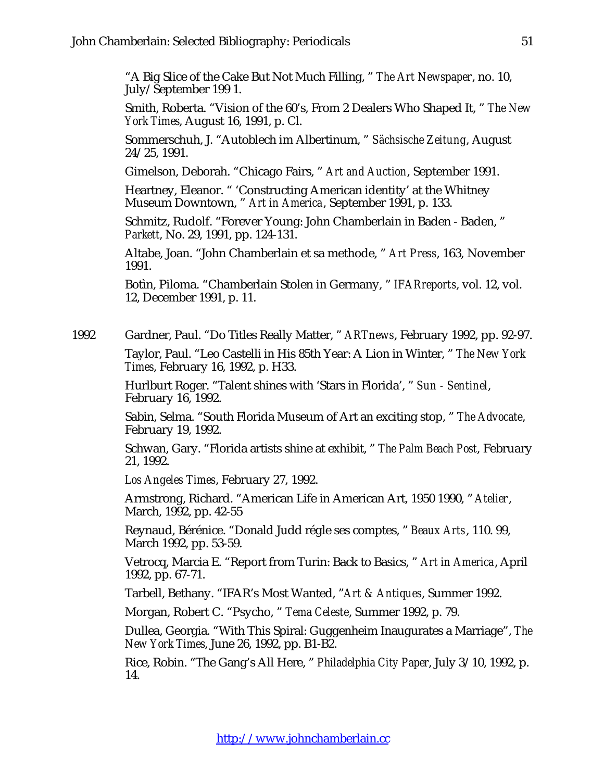"A Big Slice of the Cake But Not Much Filling, " *The Art Newspaper*, no. 10, July/September 199 1.

Smith, Roberta. "Vision of the 60's, From 2 Dealers Who Shaped It, " *The New York Times*, August 16, 1991, p. Cl.

Sommerschuh, J. "Autoblech im Albertinum, " *Sächsische Zeitung*, August 24/25, 1991.

Gimelson, Deborah. "Chicago Fairs, " *Art and Auction*, September 1991.

Heartney, Eleanor. " 'Constructing American identity' at the Whitney Museum Downtown, " *Art in America*, September 1991, p. 133.

Schmitz, Rudolf. "Forever Young: John Chamberlain in Baden - Baden, " *Parkett*, No. 29, 1991, pp. 124-131.

Altabe, Joan. "John Chamberlain et sa methode, " *Art Press*, 163, November 1991.

Botìn, Piloma. "Chamberlain Stolen in Germany, " *IFARreports*, vol. 12, vol. 12, December 1991, p. 11.

1992 Gardner, Paul. "Do Titles Really Matter, " *ARTnews*, February 1992, pp. 92-97. Taylor, Paul. "Leo Castelli in His 85th Year: A Lion in Winter, " *The New York Times*, February 16, 1992, p. H33.

> Hurlburt Roger. "Talent shines with 'Stars in Florida', " *Sun - Sentinel*, February 16, 1992.

Sabin, Selma. "South Florida Museum of Art an exciting stop, " *The Advocate*, February 19, 1992.

Schwan, Gary. "Florida artists shine at exhibit, " *The Palm Beach Post*, February 21, 1992.

*Los Angeles Times*, February 27, 1992.

Armstrong, Richard. "American Life in American Art, 1950 1990, " *Atelier*, March, 1992, pp. 42-55

Reynaud, Bérénice. "Donald Judd régle ses comptes, " *Beaux Arts*, 110. 99, March 1992, pp. 53-59.

Vetrocq, Marcia E. "Report from Turin: Back to Basics, " *Art in America*, April 1992, pp. 67-71.

Tarbell, Bethany. "IFAR's Most Wanted, "*Art & Antiques*, Summer 1992.

Morgan, Robert C. "Psycho, " *Tema Celeste*, Summer 1992, p. 79.

Dullea, Georgia. "With This Spiral: Guggenheim Inaugurates a Marriage", *The New York Times*, June 26, 1992, pp. B1-B2.

Rice, Robin. "The Gang's All Here, " *Philadelphia City Paper*, July 3/10, 1992, p. 14.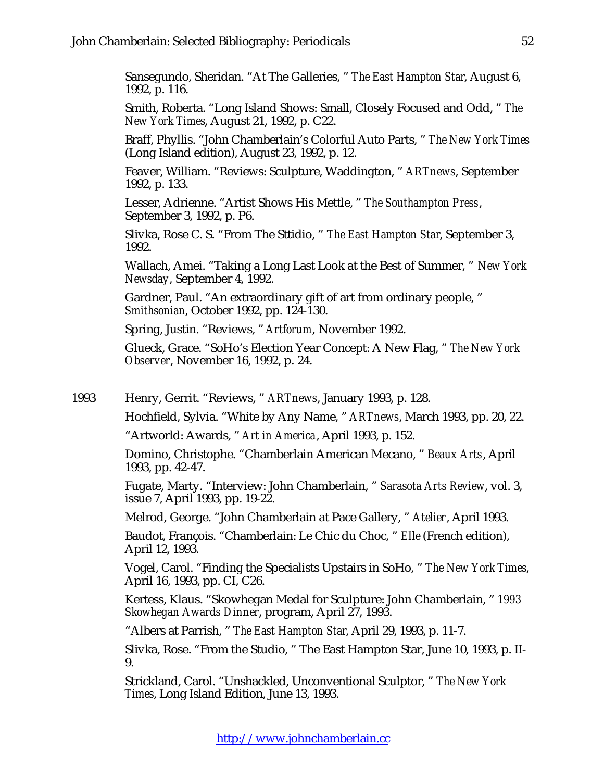Sansegundo, Sheridan. "At The Galleries, " *The East Hampton Star*, August 6, 1992, p. 116.

Smith, Roberta. "Long Island Shows: Small, Closely Focused and Odd, " *The New York Times*, August 21, 1992, p. C22.

Braff, Phyllis. "John Chamberlain's Colorful Auto Parts, " *The New York Times* (Long Island edition), August 23, 1992, p. 12.

Feaver, William. "Reviews: Sculpture, Waddington, " *ARTnews*, September 1992, p. 133.

Lesser, Adrienne. "Artist Shows His Mettle, " *The Southampton Press*, September 3, 1992, p. P6.

Slivka, Rose C. S. "From The Sttidio, " *The East Hampton Star*, September 3, 1992.

Wallach, Amei. "Taking a Long Last Look at the Best of Summer, " *New York Newsday*, September 4, 1992.

Gardner, Paul. "An extraordinary gift of art from ordinary people, " *Smithsonian*, October 1992, pp. 124-130.

Spring, Justin. "Reviews, " *Artforum*, November 1992.

Glueck, Grace. "SoHo's Election Year Concept: A New Flag, " *The New York Observer*, November 16, 1992, p. 24.

1993 Henry, Gerrit. "Reviews, " *ARTnews*, January 1993, p. 128.

Hochfield, Sylvia. "White by Any Name, " *ARTnews*, March 1993, pp. 20, 22.

"Artworld: Awards, " *Art in America*, April 1993, p. 152.

Domino, Christophe. "Chamberlain American Mecano, " *Beaux Arts*, April 1993, pp. 42-47.

Fugate, Marty. "Interview: John Chamberlain, " *Sarasota Arts Review*, vol. 3, issue 7, April 1993, pp. 19-22.

Melrod, George. "John Chamberlain at Pace Gallery, " *Atelier*, April 1993.

Baudot, François. "Chamberlain: Le Chic du Choc, " *EIle* (French edition), April 12, 1993.

Vogel, Carol. "Finding the Specialists Upstairs in SoHo, " *The New York Times*, April 16, 1993, pp. CI, C26.

Kertess, Klaus. "Skowhegan Medal for Sculpture: John Chamberlain, " *1993 Skowhegan Awards Dinner*, program, April 27, 1993.

"Albers at Parrish, " *The East Hampton Star*, April 29, 1993, p. 11-7.

Slivka, Rose. "From the Studio, " The East Hampton Star, June 10, 1993, p. II-9.

Strickland, Carol. "Unshackled, Unconventional Sculptor, " *The New York Times*, Long Island Edition, June 13, 1993.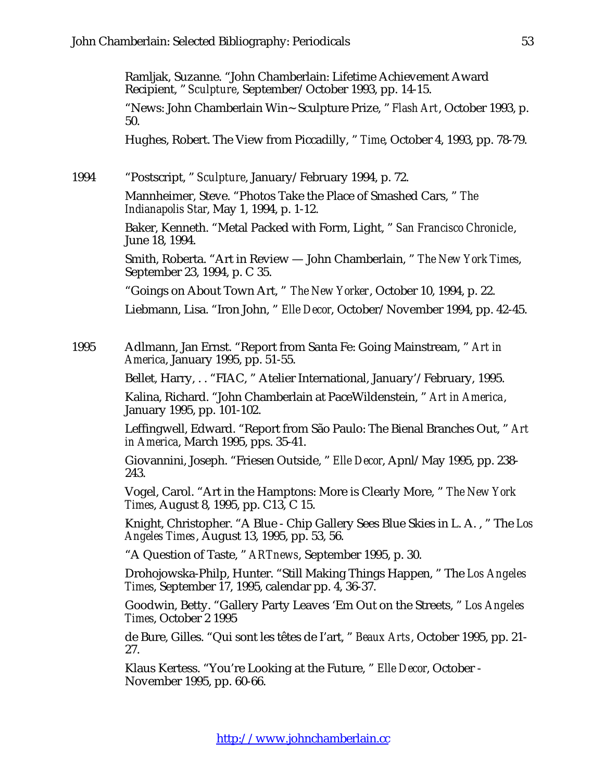Ramljak, Suzanne. "John Chamberlain: Lifetime Achievement Award Recipient, " *Sculpture*, September/October 1993, pp. 14-15.

"News: John Chamberlain Win~ Sculpture Prize, " *Flash Art*, October 1993, p. 50.

Hughes, Robert. The View from Piccadilly, " *Time*, October 4, 1993, pp. 78-79.

1994 "Postscript, " *Sculpture*, January/February 1994, p. 72.

Mannheimer, Steve. "Photos Take the Place of Smashed Cars, " *The Indianapolis Star*, May 1, 1994, p. 1-12.

Baker, Kenneth. "Metal Packed with Form, Light, " *San Francisco Chronicle*, June 18, 1994.

Smith, Roberta. "Art in Review — John Chamberlain, " *The New York Times*, September 23, 1994, p. C 35.

"Goings on About Town Art, " *The New Yorker*, October 10, 1994, p. 22.

Liebmann, Lisa. "Iron John, " *Elle Decor*, October/November 1994, pp. 42-45.

1995 Adlmann, Jan Ernst. "Report from Santa Fe: Going Mainstream, " *Art in America*, January 1995, pp. 51-55.

Bellet, Harry, . . "FIAC, " Atelier International, January'/February, 1995.

Kalina, Richard. "John Chamberlain at PaceWildenstein, " *Art in America*, January 1995, pp. 101-102.

Leffingwell, Edward. "Report from São Paulo: The Bienal Branches Out, " *Art in America*, March 1995, pps. 35-41.

Giovannini, Joseph. "Friesen Outside, " *Elle Decor*, Apnl/May 1995, pp. 238- 243.

Vogel, Carol. "Art in the Hamptons: More is Clearly More, " *The New York Times*, August 8, 1995, pp. C13, C 15.

Knight, Christopher. "A Blue - Chip Gallery Sees Blue Skies in L. A. , " The *Los Angeles Times*, August 13, 1995, pp. 53, 56.

"A Question of Taste, " *ARTnews*, September 1995, p. 30.

Drohojowska-Philp, Hunter. "Still Making Things Happen, " The *Los Angeles Times*, September 17, 1995, calendar pp. 4, 36-37.

Goodwin, Betty. "Gallery Party Leaves 'Em Out on the Streets, " *Los Angeles Times*, October 2 1995

de Bure, Gilles. "Qui sont les têtes de I'art, " *Beaux Arts*, October 1995, pp. 21- 27.

Klaus Kertess. "You're Looking at the Future, " *Elle Decor*, October - November 1995, pp. 60-66.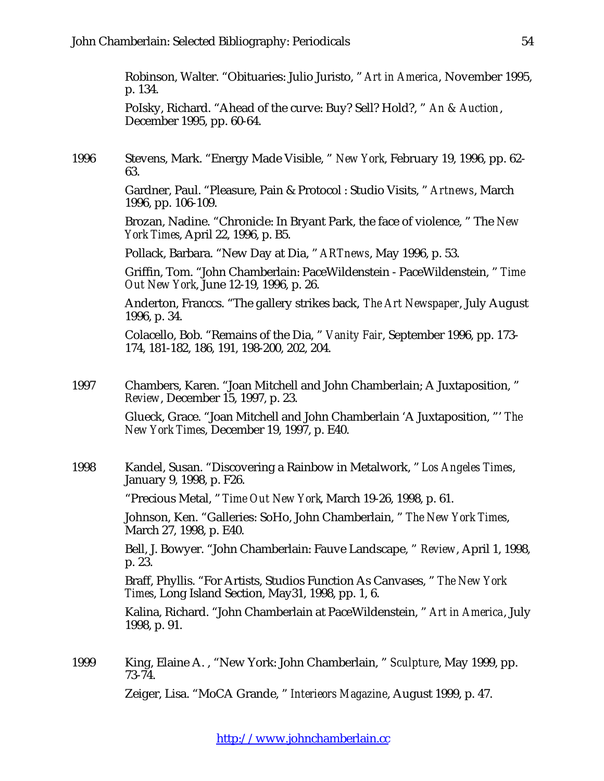Robinson, Walter. "Obituaries: Julio Juristo, " *Art in America*, November 1995, p. 134.

PoIsky, Richard. "Ahead of the curve: Buy? Sell? Hold?, " *An & Auction*, December 1995, pp. 60-64.

1996 Stevens, Mark. "Energy Made Visible, " *New York*, February 19, 1996, pp. 62- 63.

> Gardner, Paul. "Pleasure, Pain & Protocol : Studio Visits, " *Artnews*, March 1996, pp. 106-109.

Brozan, Nadine. "Chronicle: In Bryant Park, the face of violence, " The *New York Times*, April 22, 1996, p. B5.

Pollack, Barbara. "New Day at Dia, " *ARTnews*, May 1996, p. 53.

Griffin, Tom. "John Chamberlain: PaceWildenstein - PaceWildenstein, " *Time Out New York*, June 12-19, 1996, p. 26.

Anderton, Franccs. "The gallery strikes back, *The Art Newspaper*, July August 1996, p. 34.

Colacello, Bob. "Remains of the Dia, " *Vanity Fair*, September 1996, pp. 173- 174, 181-182, 186, 191, 198-200, 202, 204.

1997 Chambers, Karen. "Joan Mitchell and John Chamberlain; A Juxtaposition, " *Review*, December 15, 1997, p. 23.

> Glueck, Grace. "Joan Mitchell and John Chamberlain 'A Juxtaposition, "' *The New York Times*, December 19, 1997, p. E40.

1998 Kandel, Susan. "Discovering a Rainbow in Metalwork, " *Los Angeles Times*, January 9, 1998, p. F26.

"Precious Metal, " *Time Out New York*, March 19-26, 1998, p. 61.

Johnson, Ken. "Galleries: SoHo, John Chamberlain, " *The New York Times*, March 27, 1998, p. E40.

Bell, J. Bowyer. "John Chamberlain: Fauve Landscape, " *Review*, April 1, 1998, p. 23.

Braff, Phyllis. "For Artists, Studios Function As Canvases, " *The New York Times*, Long Island Section, May31, 1998, pp. 1, 6.

Kalina, Richard. "John Chamberlain at PaceWildenstein, " *Art in America*, July 1998, p. 91.

1999 King, Elaine A. , "New York: John Chamberlain, " *Sculpture*, May 1999, pp. 73-74.

Zeiger, Lisa. "MoCA Grande, " *Interieors Magazine*, August 1999, p. 47.